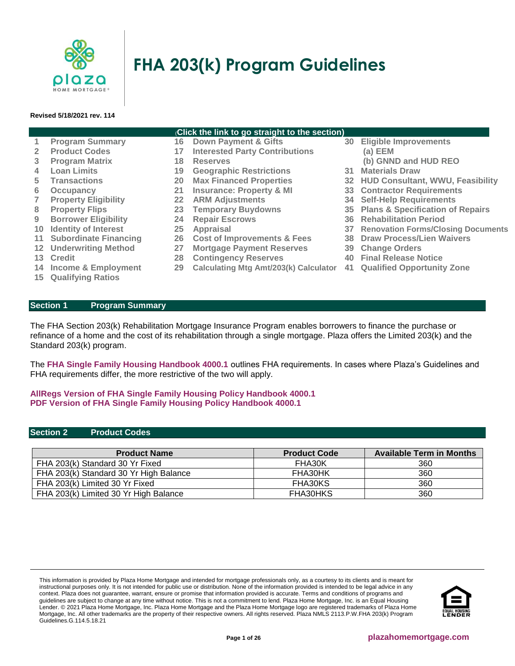

# **FHA 203(k) Program Guidelines**

#### **Revised 5/18/2021 rev. 114**

#### (**Click the link to go straight to the section)**

- **1 [Program Summary](#page-0-0) 16 [Down Payment & Gifts](#page-9-0) 30 [Eligible Improvements](#page-17-0)  2 [Product Codes](#page-0-1) 17 [Interested Party Contributions](#page-9-1) [\(a\) EEM](#page-18-0) 3 [Program Matrix](#page-1-0) 18 [Reserves](#page-9-2) [\(b\) GNND and HUD REO](#page-18-1) 4 [Loan Limits](#page-2-0) 19 [Geographic Restrictions](#page-9-3) 31 [Materials Draw](#page-19-0) 5 [Transactions](#page-2-1) 20 [Max Financed Properties](#page-11-0) 32 [HUD Consultant, WWU, Feasibility](#page-19-1) 6 [Occupancy](#page-2-2) 21 [Insurance: Property & MI](#page-11-1) 33 [Contractor Requirements](#page-20-0) 7 [Property Eligibility](#page-3-0) 22 [ARM Adjustments](#page-11-2) 34 [Self-Help Requirements](#page-21-0) 8 [Property Flips](#page-4-0) 23 [Temporary Buydowns](#page-11-3) 35 [Plans & Specification of Repairs](#page-22-0) 9 [Borrower Eligibility](#page-5-0) 24 [Repair Escrows](#page-11-4) 36 [Rehabilitation Period](#page-22-1) 10 [Identity of Interest](#page-6-0) 25 [Appraisal](#page-12-0) 37 [Renovation Forms/Closing Documents](#page-23-0) 11 [Subordinate Financing](#page-6-1) 26 [Cost of Improvements & Fees](#page-13-0) 38 [Draw Process/Lien Waivers](#page-24-0) 12 [Underwriting](#page-7-0) Method 27 [Mortgage Payment Reserves](#page-15-0) 39 [Change Orders](#page-25-0) 13 [Credit](#page-7-1) 28 [Contingency Reserves](#page-15-1) 40 [Final Release Notice](#page-25-1) 14 [Income & Employment](#page-8-0) 29 [Calculating Mtg Amt/203\(k\) Calculator](#page-16-0) 41 [Qualified Opportunity Zone](#page-25-2) 15 [Qualifying Ratios](#page-9-4)**
- <span id="page-0-0"></span>**Section 1 Program Summary**

The FHA Section 203(k) Rehabilitation Mortgage Insurance Program enables borrowers to finance the purchase or refinance of a home and the cost of its rehabilitation through a single mortgage. Plaza offers the Limited 203(k) and the Standard 203(k) program.

The **[FHA Single Family Housing Handbook 4000.1](http://portal.hud.gov/hudportal/documents/huddoc?id=40001HSGH.pdf#page=361)** outlines FHA requirements. In cases where Plaza's Guidelines and FHA requirements differ, the more restrictive of the two will apply.

## **[AllRegs Version of FHA Single Family Housing Policy Handbook 4000.1](http://www.allregs.com/tpl/public/fha_freesite.aspx) [PDF Version of FHA Single Family Housing Policy Handbook 4000.1](http://portal.hud.gov/hudportal/documents/huddoc?id=40001HSGH.pdf#page=361)**

#### <span id="page-0-1"></span>**Section 2 Product Codes**

| <b>Product Name</b>                    | <b>Product Code</b> | <b>Available Term in Months</b> |
|----------------------------------------|---------------------|---------------------------------|
| FHA 203(k) Standard 30 Yr Fixed        | FHA30K              | 360                             |
| FHA 203(k) Standard 30 Yr High Balance | FHA30HK             | 360                             |
| FHA 203(k) Limited 30 Yr Fixed         | FHA30KS             | 360                             |
| FHA 203(k) Limited 30 Yr High Balance  | FHA30HKS            | 360                             |

This information is provided by Plaza Home Mortgage and intended for mortgage professionals only, as a courtesy to its clients and is meant for instructional purposes only. It is not intended for public use or distribution. None of the information provided is intended to be legal advice in any context. Plaza does not guarantee, warrant, ensure or promise that information provided is accurate. Terms and conditions of programs and guidelines are subject to change at any time without notice. This is not a commitment to lend. Plaza Home Mortgage, Inc. is an Equal Housing Lender. © 2021 Plaza Home Mortgage, Inc. Plaza Home Mortgage and the Plaza Home Mortgage logo are registered trademarks of Plaza Home Mortgage, Inc. All other trademarks are the property of their respective owners. All rights reserved. Plaza NMLS 2113.P.W.FHA 203(k) Program Guidelines.G.114.5.18.21

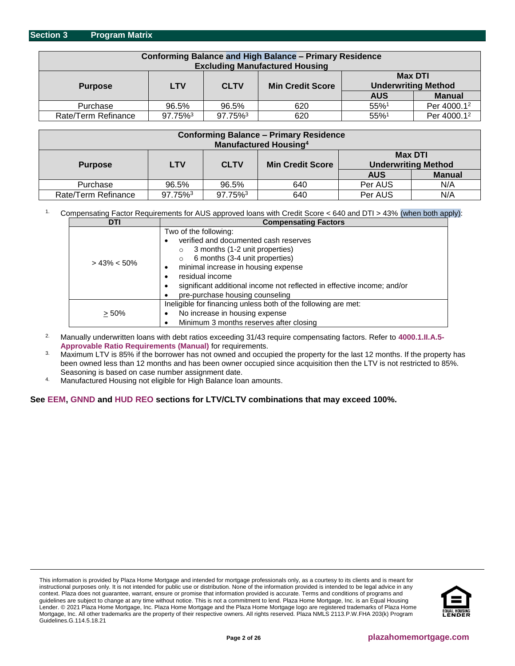<span id="page-1-0"></span>

| <b>Conforming Balance and High Balance - Primary Residence</b><br><b>Excluding Manufactured Housing</b> |            |             |                         |                                              |                         |
|---------------------------------------------------------------------------------------------------------|------------|-------------|-------------------------|----------------------------------------------|-------------------------|
| <b>Purpose</b>                                                                                          | <b>LTV</b> | <b>CLTV</b> | <b>Min Credit Score</b> | <b>Max DTI</b><br><b>Underwriting Method</b> |                         |
|                                                                                                         |            |             |                         | <b>AUS</b>                                   | <b>Manual</b>           |
| Purchase                                                                                                | 96.5%      | 96.5%       | 620                     | 55%1                                         | Per 4000.1 <sup>2</sup> |
| Rate/Term Refinance                                                                                     | 97.75%3    | 97.75%3     | 620                     | $55\%$ <sup>1</sup>                          | Per 4000.12             |

| <b>Conforming Balance - Primary Residence</b> |                           |         |                         |                            |               |
|-----------------------------------------------|---------------------------|---------|-------------------------|----------------------------|---------------|
| <b>Manufactured Housing</b> <sup>4</sup>      |                           |         |                         |                            |               |
| <b>Max DTI</b>                                |                           |         |                         |                            |               |
| <b>Purpose</b>                                | <b>CLTV</b><br><b>LTV</b> |         | <b>Min Credit Score</b> | <b>Underwriting Method</b> |               |
|                                               |                           |         |                         | <b>AUS</b>                 | <b>Manual</b> |
| Purchase                                      | 96.5%                     | 96.5%   | 640                     | Per AUS                    | N/A           |
| Rate/Term Refinance                           | 97.75%3                   | 97.75%3 | 640                     | Per AUS                    | N/A           |

#### 1. Compensating Factor Requirements for AUS approved loans with Credit Score < 640 and DTI > 43% (when both apply):

| DTI             | <b>Compensating Factors</b>                                                                                                                                                                                                                                                                                                                |  |  |
|-----------------|--------------------------------------------------------------------------------------------------------------------------------------------------------------------------------------------------------------------------------------------------------------------------------------------------------------------------------------------|--|--|
| $> 43\% < 50\%$ | Two of the following:<br>verified and documented cash reserves<br>٠<br>3 months (1-2 unit properties)<br>$\circ$<br>6 months (3-4 unit properties)<br>$\circ$<br>minimal increase in housing expense<br>٠<br>residual income<br>significant additional income not reflected in effective income; and/or<br>pre-purchase housing counseling |  |  |
| $> 50\%$        | Ineligible for financing unless both of the following are met:<br>No increase in housing expense<br>٠<br>Minimum 3 months reserves after closing<br>٠                                                                                                                                                                                      |  |  |

2. Manually underwritten loans with debt ratios exceeding 31/43 require compensating factors. Refer to **[4000.1.II.A.5-](http://portal.hud.gov/hudportal/documents/huddoc?id=40001HSGH.pdf#page=324) [Approvable Ratio Requirements \(Manual\)](http://portal.hud.gov/hudportal/documents/huddoc?id=40001HSGH.pdf#page=324)** for requirements.

<sup>3</sup>. Maximum LTV is 85% if the borrower has not owned and occupied the property for the last 12 months. If the property has been owned less than 12 months and has been owner occupied since acquisition then the LTV is not restricted to 85%. Seasoning is based on case number assignment date.

4. Manufactured Housing not eligible for High Balance loan amounts.

#### **See [EEM,](#page-18-0) [GNND](#page-18-1) and [HUD REO](#page-18-1) sections for LTV/CLTV combinations that may exceed 100%.**

This information is provided by Plaza Home Mortgage and intended for mortgage professionals only, as a courtesy to its clients and is meant for instructional purposes only. It is not intended for public use or distribution. None of the information provided is intended to be legal advice in any context. Plaza does not guarantee, warrant, ensure or promise that information provided is accurate. Terms and conditions of programs and guidelines are subject to change at any time without notice. This is not a commitment to lend. Plaza Home Mortgage, Inc. is an Equal Housing Lender. © 2021 Plaza Home Mortgage, Inc. Plaza Home Mortgage and the Plaza Home Mortgage logo are registered trademarks of Plaza Home Mortgage, Inc. All other trademarks are the property of their respective owners. All rights reserved. Plaza NMLS 2113.P.W.FHA 203(k) Program Guidelines.G.114.5.18.21

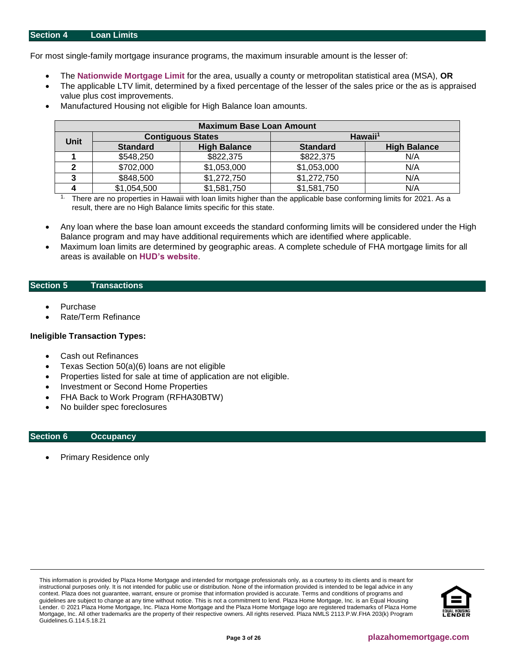<span id="page-2-0"></span>For most single-family mortgage insurance programs, the maximum insurable amount is the lesser of:

- The **[Nationwide Mortgage Limit](https://entp.hud.gov/idapp/html/hicostlook.cfm)** for the area, usually a county or metropolitan statistical area (MSA), **OR**
- The applicable LTV limit, determined by a fixed percentage of the lesser of the sales price or the as is appraised value plus cost improvements.
- Manufactured Housing not eligible for High Balance loan amounts.

| <b>Maximum Base Loan Amount</b> |                 |                          |                     |                     |  |
|---------------------------------|-----------------|--------------------------|---------------------|---------------------|--|
|                                 |                 | <b>Contiguous States</b> | Hawaii <sup>1</sup> |                     |  |
| <b>Unit</b>                     | <b>Standard</b> | <b>High Balance</b>      | <b>Standard</b>     | <b>High Balance</b> |  |
|                                 | \$548,250       | \$822,375                | \$822,375           | N/A                 |  |
|                                 | \$702,000       | \$1,053,000              | \$1,053,000         | N/A                 |  |
|                                 | \$848,500       | \$1,272,750              | \$1,272,750         | N/A                 |  |
|                                 | \$1,054,500     | \$1,581,750              | \$1,581,750         | N/A                 |  |

<sup>1.</sup> There are no properties in Hawaii with loan limits higher than the applicable base conforming limits for 2021. As a result, there are no High Balance limits specific for this state.

- Any loan where the base loan amount exceeds the standard conforming limits will be considered under the High Balance program and may have additional requirements which are identified where applicable.
- Maximum loan limits are determined by geographic areas. A complete schedule of FHA mortgage limits for all areas is available on **[HUD's website](https://entp.hud.gov/idapp/html/hicostlook.cfm)**.

#### <span id="page-2-1"></span>**Section 5 Transactions**

- **Purchase**
- Rate/Term Refinance

#### **Ineligible Transaction Types:**

- Cash out Refinances
- Texas Section 50(a)(6) loans are not eligible
- Properties listed for sale at time of application are not eligible.
- Investment or Second Home Properties
- FHA Back to Work Program (RFHA30BTW)
- No builder spec foreclosures

#### <span id="page-2-2"></span>**Section 6 Occupancy**

• Primary Residence only

This information is provided by Plaza Home Mortgage and intended for mortgage professionals only, as a courtesy to its clients and is meant for instructional purposes only. It is not intended for public use or distribution. None of the information provided is intended to be legal advice in any context. Plaza does not guarantee, warrant, ensure or promise that information provided is accurate. Terms and conditions of programs and guidelines are subject to change at any time without notice. This is not a commitment to lend. Plaza Home Mortgage, Inc. is an Equal Housing Lender. © 2021 Plaza Home Mortgage, Inc. Plaza Home Mortgage and the Plaza Home Mortgage logo are registered trademarks of Plaza Home Mortgage, Inc. All other trademarks are the property of their respective owners. All rights reserved. Plaza NMLS 2113.P.W.FHA 203(k) Program Guidelines.G.114.5.18.21

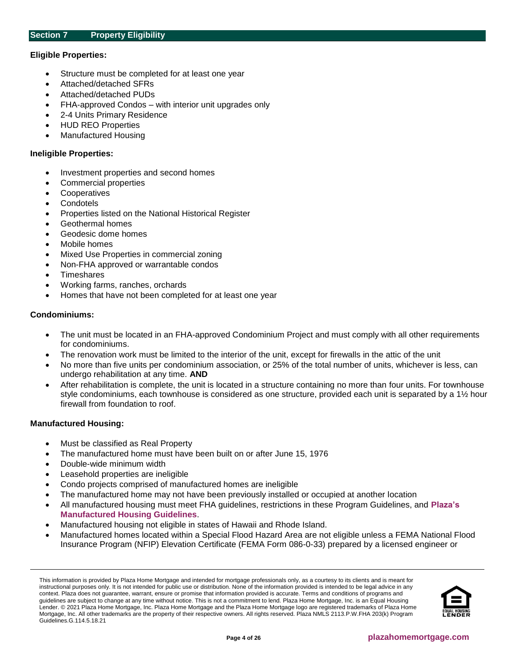## <span id="page-3-0"></span>**Eligible Properties:**

- Structure must be completed for at least one year
- Attached/detached SFRs
- Attached/detached PUDs
- FHA-approved Condos with interior unit upgrades only
- 2-4 Units Primary Residence
- HUD REO Properties
- Manufactured Housing

#### **Ineligible Properties:**

- Investment properties and second homes
- Commercial properties
- **Cooperatives**
- **Condotels**
- Properties listed on the National Historical Register
- Geothermal homes
- Geodesic dome homes
- Mobile homes
- Mixed Use Properties in commercial zoning
- Non-FHA approved or warrantable condos
- **Timeshares**
- Working farms, ranches, orchards
- Homes that have not been completed for at least one year

#### **Condominiums:**

- The unit must be located in an FHA-approved Condominium Project and must comply with all other requirements for condominiums.
- The renovation work must be limited to the interior of the unit, except for firewalls in the attic of the unit
- No more than five units per condominium association, or 25% of the total number of units, whichever is less, can undergo rehabilitation at any time. **AND**
- After rehabilitation is complete, the unit is located in a structure containing no more than four units. For townhouse style condominiums, each townhouse is considered as one structure, provided each unit is separated by a 1½ hour firewall from foundation to roof.

## **Manufactured Housing:**

- Must be classified as Real Property
- The manufactured home must have been built on or after June 15, 1976
- Double-wide minimum width
- Leasehold properties are ineligible
- Condo projects comprised of manufactured homes are ineligible
- The manufactured home may not have been previously installed or occupied at another location
- All manufactured housing must meet FHA guidelines, restrictions in these Program Guidelines, and **[Plaza's](https://resourcecenter.plazahomemortgage.com/phmidocpublisher.nsf/All/F80CDE97BD14D52C8825805A00682B1E?OpenDocument&STATUS=PUBLISHED)  [Manufactured Housing Guidelines](https://resourcecenter.plazahomemortgage.com/phmidocpublisher.nsf/All/F80CDE97BD14D52C8825805A00682B1E?OpenDocument&STATUS=PUBLISHED)**.
- Manufactured housing not eligible in states of Hawaii and Rhode Island.
- Manufactured homes located within a Special Flood Hazard Area are not eligible unless a FEMA National Flood Insurance Program (NFIP) Elevation Certificate (FEMA Form 086-0-33) prepared by a licensed engineer or

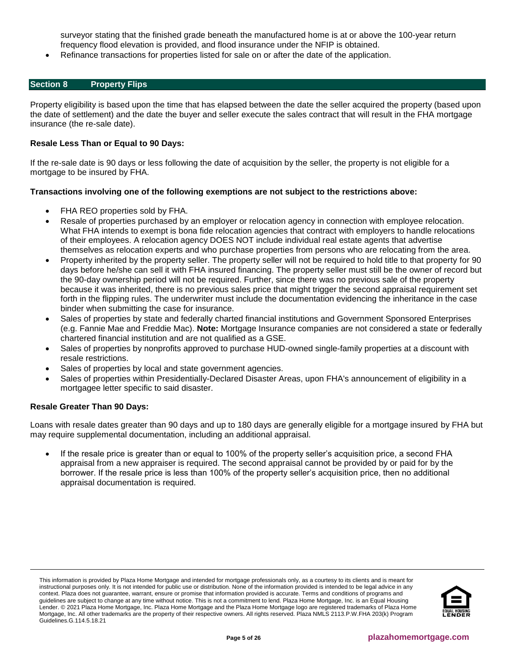surveyor stating that the finished grade beneath the manufactured home is at or above the 100-year return frequency flood elevation is provided, and flood insurance under the NFIP is obtained.

• Refinance transactions for properties listed for sale on or after the date of the application.

# <span id="page-4-0"></span>**Section 8 Property Flips**

Property eligibility is based upon the time that has elapsed between the date the seller acquired the property (based upon the date of settlement) and the date the buyer and seller execute the sales contract that will result in the FHA mortgage insurance (the re-sale date).

## **Resale Less Than or Equal to 90 Days:**

If the re-sale date is 90 days or less following the date of acquisition by the seller, the property is not eligible for a mortgage to be insured by FHA.

# **Transactions involving one of the following exemptions are not subject to the restrictions above:**

- FHA REO properties sold by FHA.
- Resale of properties purchased by an employer or relocation agency in connection with employee relocation. What FHA intends to exempt is bona fide relocation agencies that contract with employers to handle relocations of their employees. A relocation agency DOES NOT include individual real estate agents that advertise themselves as relocation experts and who purchase properties from persons who are relocating from the area.
- Property inherited by the property seller. The property seller will not be required to hold title to that property for 90 days before he/she can sell it with FHA insured financing. The property seller must still be the owner of record but the 90-day ownership period will not be required. Further, since there was no previous sale of the property because it was inherited, there is no previous sales price that might trigger the second appraisal requirement set forth in the flipping rules. The underwriter must include the documentation evidencing the inheritance in the case binder when submitting the case for insurance.
- Sales of properties by state and federally charted financial institutions and Government Sponsored Enterprises (e.g. Fannie Mae and Freddie Mac). **Note:** Mortgage Insurance companies are not considered a state or federally chartered financial institution and are not qualified as a GSE.
- Sales of properties by nonprofits approved to purchase HUD-owned single-family properties at a discount with resale restrictions.
- Sales of properties by local and state government agencies.
- Sales of properties within Presidentially-Declared Disaster Areas, upon FHA's announcement of eligibility in a mortgagee letter specific to said disaster.

# **Resale Greater Than 90 Days:**

Loans with resale dates greater than 90 days and up to 180 days are generally eligible for a mortgage insured by FHA but may require supplemental documentation, including an additional appraisal.

If the resale price is greater than or equal to 100% of the property seller's acquisition price, a second FHA appraisal from a new appraiser is required. The second appraisal cannot be provided by or paid for by the borrower. If the resale price is less than 100% of the property seller's acquisition price, then no additional appraisal documentation is required.

This information is provided by Plaza Home Mortgage and intended for mortgage professionals only, as a courtesy to its clients and is meant for instructional purposes only. It is not intended for public use or distribution. None of the information provided is intended to be legal advice in any context. Plaza does not guarantee, warrant, ensure or promise that information provided is accurate. Terms and conditions of programs and guidelines are subject to change at any time without notice. This is not a commitment to lend. Plaza Home Mortgage, Inc. is an Equal Housing Lender. © 2021 Plaza Home Mortgage, Inc. Plaza Home Mortgage and the Plaza Home Mortgage logo are registered trademarks of Plaza Home Mortgage, Inc. All other trademarks are the property of their respective owners. All rights reserved. Plaza NMLS 2113.P.W.FHA 203(k) Program Guidelines.G.114.5.18.21

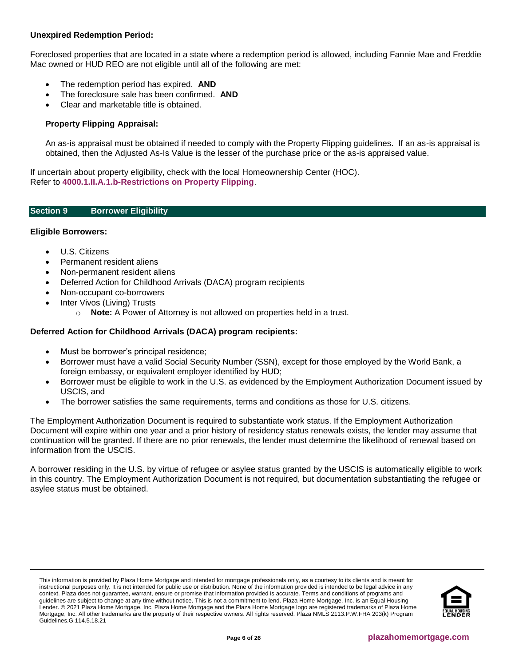# **Unexpired Redemption Period:**

Foreclosed properties that are located in a state where a redemption period is allowed, including Fannie Mae and Freddie Mac owned or HUD REO are not eligible until all of the following are met:

- The redemption period has expired. **AND**
- The foreclosure sale has been confirmed. **AND**
- Clear and marketable title is obtained.

# **Property Flipping Appraisal:**

An as-is appraisal must be obtained if needed to comply with the Property Flipping guidelines. If an as-is appraisal is obtained, then the Adjusted As-Is Value is the lesser of the purchase price or the as-is appraised value.

If uncertain about property eligibility, check with the local Homeownership Center (HOC). Refer to **[4000.1.II.A.1.b-Restrictions on Property Flipping](http://portal.hud.gov/hudportal/documents/huddoc?id=40001HSGH.pdf#page=152)**.

#### <span id="page-5-0"></span>**Section 9 Borrower Eligibility**

## **Eligible Borrowers:**

- U.S. Citizens
- Permanent resident aliens
- Non-permanent resident aliens
- Deferred Action for Childhood Arrivals (DACA) program recipients
- Non-occupant co-borrowers
- Inter Vivos (Living) Trusts
	- o **Note:** A Power of Attorney is not allowed on properties held in a trust.

# **Deferred Action for Childhood Arrivals (DACA) program recipients:**

- Must be borrower's principal residence;
- Borrower must have a valid Social Security Number (SSN), except for those employed by the World Bank, a foreign embassy, or equivalent employer identified by HUD;
- Borrower must be eligible to work in the U.S. as evidenced by the Employment Authorization Document issued by USCIS, and
- The borrower satisfies the same requirements, terms and conditions as those for U.S. citizens.

The Employment Authorization Document is required to substantiate work status. If the Employment Authorization Document will expire within one year and a prior history of residency status renewals exists, the lender may assume that continuation will be granted. If there are no prior renewals, the lender must determine the likelihood of renewal based on information from the USCIS.

A borrower residing in the U.S. by virtue of refugee or asylee status granted by the USCIS is automatically eligible to work in this country. The Employment Authorization Document is not required, but documentation substantiating the refugee or asylee status must be obtained.

This information is provided by Plaza Home Mortgage and intended for mortgage professionals only, as a courtesy to its clients and is meant for instructional purposes only. It is not intended for public use or distribution. None of the information provided is intended to be legal advice in any context. Plaza does not guarantee, warrant, ensure or promise that information provided is accurate. Terms and conditions of programs and guidelines are subject to change at any time without notice. This is not a commitment to lend. Plaza Home Mortgage, Inc. is an Equal Housing Lender. © 2021 Plaza Home Mortgage, Inc. Plaza Home Mortgage and the Plaza Home Mortgage logo are registered trademarks of Plaza Home Mortgage, Inc. All other trademarks are the property of their respective owners. All rights reserved. Plaza NMLS 2113.P.W.FHA 203(k) Program Guidelines.G.114.5.18.21

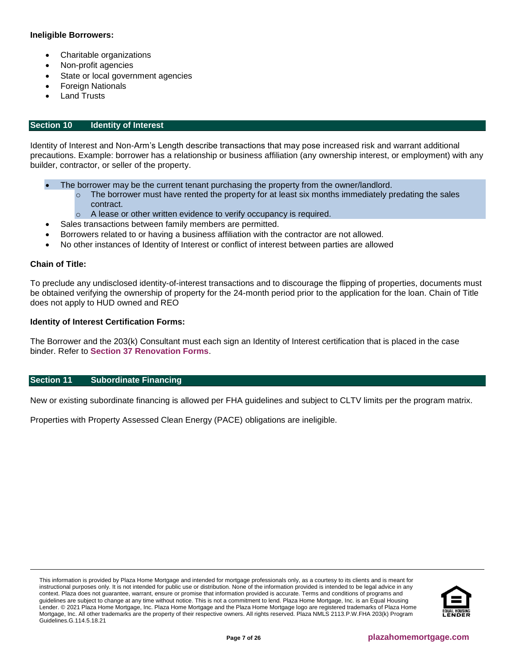# **Ineligible Borrowers:**

- Charitable organizations
- Non-profit agencies
- State or local government agencies
- Foreign Nationals
- **Land Trusts**

# <span id="page-6-0"></span>**Section 10 Identity of Interest**

Identity of Interest and Non-Arm's Length describe transactions that may pose increased risk and warrant additional precautions. Example: borrower has a relationship or business affiliation (any ownership interest, or employment) with any builder, contractor, or seller of the property.

- The borrower may be the current tenant purchasing the property from the owner/landlord.
	- $\circ$  The borrower must have rented the property for at least six months immediately predating the sales contract.
	- o A lease or other written evidence to verify occupancy is required.
- Sales transactions between family members are permitted.
- Borrowers related to or having a business affiliation with the contractor are not allowed.
- No other instances of Identity of Interest or conflict of interest between parties are allowed

# **Chain of Title:**

To preclude any undisclosed identity-of-interest transactions and to discourage the flipping of properties, documents must be obtained verifying the ownership of property for the 24-month period prior to the application for the loan. Chain of Title does not apply to HUD owned and REO

## **Identity of Interest Certification Forms:**

The Borrower and the 203(k) Consultant must each sign an Identity of Interest certification that is placed in the case binder. Refer to **[Section 37 Renovation Forms](#page-23-0)**.

## <span id="page-6-1"></span>**Section 11 Subordinate Financing**

New or existing subordinate financing is allowed per FHA guidelines and subject to CLTV limits per the program matrix.

Properties with Property Assessed Clean Energy (PACE) obligations are ineligible.

This information is provided by Plaza Home Mortgage and intended for mortgage professionals only, as a courtesy to its clients and is meant for instructional purposes only. It is not intended for public use or distribution. None of the information provided is intended to be legal advice in any context. Plaza does not guarantee, warrant, ensure or promise that information provided is accurate. Terms and conditions of programs and guidelines are subject to change at any time without notice. This is not a commitment to lend. Plaza Home Mortgage, Inc. is an Equal Housing Lender. © 2021 Plaza Home Mortgage, Inc. Plaza Home Mortgage and the Plaza Home Mortgage logo are registered trademarks of Plaza Home Mortgage, Inc. All other trademarks are the property of their respective owners. All rights reserved. Plaza NMLS 2113.P.W.FHA 203(k) Program Guidelines.G.114.5.18.21

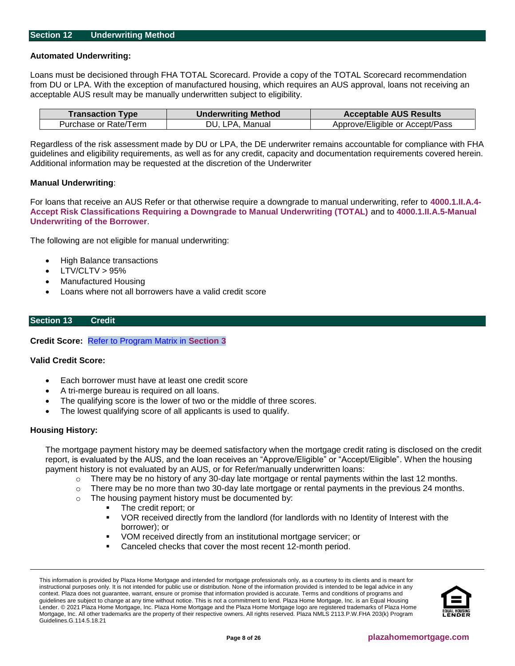#### <span id="page-7-0"></span>**Section 12 Underwriting Method**

#### **Automated Underwriting:**

Loans must be decisioned through FHA TOTAL Scorecard. Provide a copy of the TOTAL Scorecard recommendation from DU or LPA. With the exception of manufactured housing, which requires an AUS approval, loans not receiving an acceptable AUS result may be manually underwritten subject to eligibility.

| <b>Transaction Type</b> | <b>Underwriting Method</b> | <b>Acceptable AUS Results</b>   |
|-------------------------|----------------------------|---------------------------------|
| Purchase or Rate/Term   | DU, LPA, Manual            | Approve/Eligible or Accept/Pass |

Regardless of the risk assessment made by DU or LPA, the DE underwriter remains accountable for compliance with FHA guidelines and eligibility requirements, as well as for any credit, capacity and documentation requirements covered herein. Additional information may be requested at the discretion of the Underwriter

#### **Manual Underwriting**:

For loans that receive an AUS Refer or that otherwise require a downgrade to manual underwriting, refer to **[4000.1.II.A.4-](http://portal.hud.gov/hudportal/documents/huddoc?id=40001HSGH.pdf#page=148) [Accept Risk Classifications Requiring a Downgrade to Manual Underwriting \(TOTAL\)](http://portal.hud.gov/hudportal/documents/huddoc?id=40001HSGH.pdf#page=148)** and to **[4000.1.II.A.5-Manual](http://portal.hud.gov/hudportal/documents/huddoc?id=40001HSGH.pdf#page=250)  [Underwriting of the Borrower](http://portal.hud.gov/hudportal/documents/huddoc?id=40001HSGH.pdf#page=250)**.

The following are not eligible for manual underwriting:

- High Balance transactions
- $LTV/CLTV > 95%$
- Manufactured Housing
- Loans where not all borrowers have a valid credit score

# <span id="page-7-1"></span>**Section 13 Credit**

**Credit Score:** [Refer to Program Matrix in](#page-1-0) **Section 3**

## **Valid Credit Score:**

- Each borrower must have at least one credit score
- A tri-merge bureau is required on all loans.
- The qualifying score is the lower of two or the middle of three scores.
- The lowest qualifying score of all applicants is used to qualify.

#### **Housing History:**

The mortgage payment history may be deemed satisfactory when the mortgage credit rating is disclosed on the credit report, is evaluated by the AUS, and the loan receives an "Approve/Eligible" or "Accept/Eligible". When the housing payment history is not evaluated by an AUS, or for Refer/manually underwritten loans:

- $\circ$  There may be no history of any 30-day late mortgage or rental payments within the last 12 months.
- $\circ$  There may be no more than two 30-day late mortgage or rental payments in the previous 24 months.
- o The housing payment history must be documented by:
	- The credit report; or
	- VOR received directly from the landlord (for landlords with no Identity of Interest with the borrower); or
	- VOM received directly from an institutional mortgage servicer; or
	- Canceled checks that cover the most recent 12-month period.

This information is provided by Plaza Home Mortgage and intended for mortgage professionals only, as a courtesy to its clients and is meant for instructional purposes only. It is not intended for public use or distribution. None of the information provided is intended to be legal advice in any context. Plaza does not guarantee, warrant, ensure or promise that information provided is accurate. Terms and conditions of programs and guidelines are subject to change at any time without notice. This is not a commitment to lend. Plaza Home Mortgage, Inc. is an Equal Housing Lender. © 2021 Plaza Home Mortgage, Inc. Plaza Home Mortgage and the Plaza Home Mortgage logo are registered trademarks of Plaza Home Mortgage, Inc. All other trademarks are the property of their respective owners. All rights reserved. Plaza NMLS 2113.P.W.FHA 203(k) Program Guidelines.G.114.5.18.21

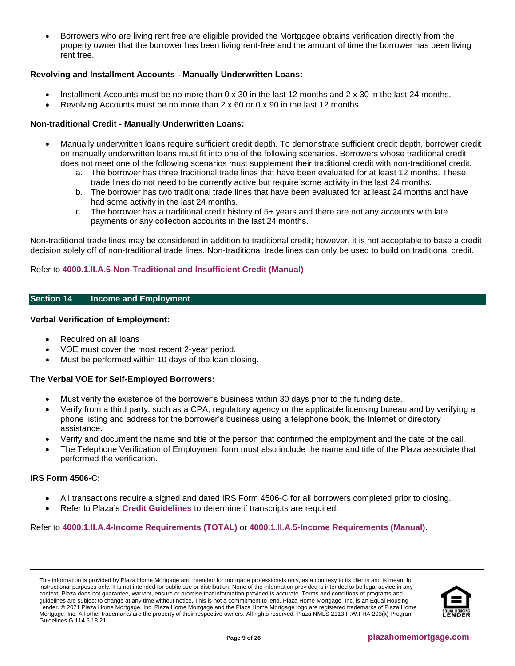• Borrowers who are living rent free are eligible provided the Mortgagee obtains verification directly from the property owner that the borrower has been living rent-free and the amount of time the borrower has been living rent free.

# **Revolving and Installment Accounts - Manually Underwritten Loans:**

- Installment Accounts must be no more than  $0 \times 30$  in the last 12 months and  $2 \times 30$  in the last 24 months.
- Revolving Accounts must be no more than  $2 \times 60$  or  $0 \times 90$  in the last 12 months.

# **Non-traditional Credit - Manually Underwritten Loans:**

- Manually underwritten loans require sufficient credit depth. To demonstrate sufficient credit depth, borrower credit on manually underwritten loans must fit into one of the following scenarios. Borrowers whose traditional credit does not meet one of the following scenarios must supplement their traditional credit with non-traditional credit.
	- a. The borrower has three traditional trade lines that have been evaluated for at least 12 months. These trade lines do not need to be currently active but require some activity in the last 24 months.
	- b. The borrower has two traditional trade lines that have been evaluated for at least 24 months and have had some activity in the last 24 months.
	- c. The borrower has a traditional credit history of 5+ years and there are not any accounts with late payments or any collection accounts in the last 24 months.

Non-traditional trade lines may be considered in addition to traditional credit; however, it is not acceptable to base a credit decision solely off of non-traditional trade lines. Non-traditional trade lines can only be used to build on traditional credit.

# Refer to **[4000.1.II.A.5-Non-Traditional and Insufficient Credit \(Manual\)](http://portal.hud.gov/hudportal/documents/huddoc?id=40001HSGH.pdf#page=252)**

# <span id="page-8-0"></span>**Section 14 Income and Employment**

## **Verbal Verification of Employment:**

- Required on all loans
- VOE must cover the most recent 2-year period.
- Must be performed within 10 days of the loan closing.

## **The Verbal VOE for Self-Employed Borrowers:**

- Must verify the existence of the borrower's business within 30 days prior to the funding date.
- Verify from a third party, such as a CPA, regulatory agency or the applicable licensing bureau and by verifying a phone listing and address for the borrower's business using a telephone book, the Internet or directory assistance.
- Verify and document the name and title of the person that confirmed the employment and the date of the call.
- The Telephone Verification of Employment form must also include the name and title of the Plaza associate that performed the verification.

## **IRS Form 4506-C:**

- All transactions require a signed and dated IRS Form 4506-C for all borrowers completed prior to closing.
- Refer to Plaza's **[Credit Guidelines](https://resourcecenter.plazahomemortgage.com/placli/all/ec8a4379a5da48c807257cbc0054308f?opendocument)** to determine if transcripts are required.

## Refer to **[4000.1.II.A.4-Income Requirements \(TOTAL\)](http://portal.hud.gov/hudportal/documents/huddoc?id=40001HSGH.pdf#page=198)** or **[4000.1.II.A.5-Income Requirements \(Manual\)](http://portal.hud.gov/hudportal/documents/huddoc?id=40001HSGH.pdf#page=271)**.

This information is provided by Plaza Home Mortgage and intended for mortgage professionals only, as a courtesy to its clients and is meant for instructional purposes only. It is not intended for public use or distribution. None of the information provided is intended to be legal advice in any context. Plaza does not guarantee, warrant, ensure or promise that information provided is accurate. Terms and conditions of programs and guidelines are subject to change at any time without notice. This is not a commitment to lend. Plaza Home Mortgage, Inc. is an Equal Housing Lender. © 2021 Plaza Home Mortgage, Inc. Plaza Home Mortgage and the Plaza Home Mortgage logo are registered trademarks of Plaza Home Mortgage, Inc. All other trademarks are the property of their respective owners. All rights reserved. Plaza NMLS 2113.P.W.FHA 203(k) Program Guidelines.G.114.5.18.21

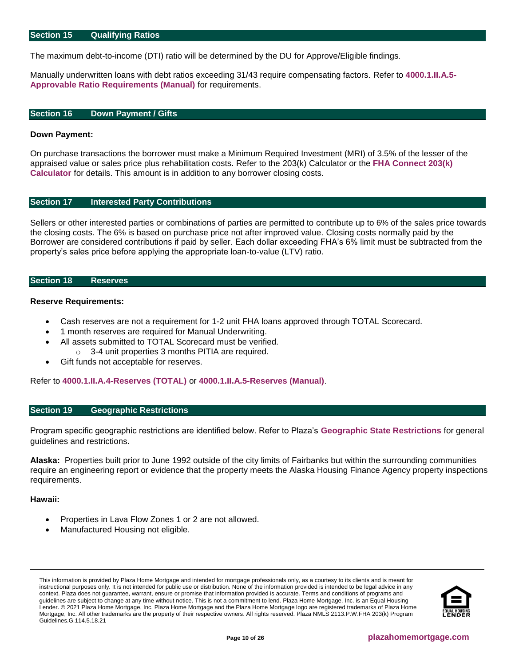#### <span id="page-9-4"></span>**Section 15 Qualifying Ratios**

The maximum debt-to-income (DTI) ratio will be determined by the DU for Approve/Eligible findings.

Manually underwritten loans with debt ratios exceeding 31/43 require compensating factors. Refer to **[4000.1.II.A.5-](http://portal.hud.gov/hudportal/documents/huddoc?id=40001HSGH.pdf#page=324) [Approvable Ratio Requirements \(Manual\)](http://portal.hud.gov/hudportal/documents/huddoc?id=40001HSGH.pdf#page=324)** for requirements.

#### <span id="page-9-0"></span>**Section 16 Down Payment / Gifts**

#### **Down Payment:**

On purchase transactions the borrower must make a Minimum Required Investment (MRI) of 3.5% of the lesser of the appraised value or sales price plus rehabilitation costs. Refer to the 203(k) Calculator or the **[FHA Connect 203\(k\)](https://entp.hud.gov/idapp/html/f17203k-look.cfm)  [Calculator](https://entp.hud.gov/idapp/html/f17203k-look.cfm)** for details. This amount is in addition to any borrower closing costs.

#### <span id="page-9-1"></span>**Section 17 Interested Party Contributions**

Sellers or other interested parties or combinations of parties are permitted to contribute up to 6% of the sales price towards the closing costs. The 6% is based on purchase price not after improved value. Closing costs normally paid by the Borrower are considered contributions if paid by seller. Each dollar exceeding FHA's 6% limit must be subtracted from the property's sales price before applying the appropriate loan-to-value (LTV) ratio.

#### <span id="page-9-2"></span>**Section 18 Reserves**

#### **Reserve Requirements:**

- Cash reserves are not a requirement for 1-2 unit FHA loans approved through TOTAL Scorecard.
- 1 month reserves are required for Manual Underwriting.
- All assets submitted to TOTAL Scorecard must be verified. o 3-4 unit properties 3 months PITIA are required.
- Gift funds not acceptable for reserves.

Refer to **[4000.1.II.A.4-Reserves \(TOTAL\)](http://portal.hud.gov/hudportal/documents/huddoc?id=40001HSGH.pdf#page=225)** or **[4000.1.II.A.5-Reserves \(Manual\)](http://portal.hud.gov/hudportal/documents/huddoc?id=40001HSGH.pdf#page=298)**.

# <span id="page-9-3"></span>**Section 19 Geographic Restrictions**

Program specific geographic restrictions are identified below. Refer to Plaza's **[Geographic State Restrictions](https://resourcecenter.plazahomemortgage.com/phmidocpublisher.nsf/All/4D05932DD7438704072579D8007C12D7?OpenDocument)** for general guidelines and restrictions.

**Alaska:** Properties built prior to June 1992 outside of the city limits of Fairbanks but within the surrounding communities require an engineering report or evidence that the property meets the Alaska Housing Finance Agency property inspections requirements.

#### **Hawaii:**

- Properties in Lava Flow Zones 1 or 2 are not allowed.
- Manufactured Housing not eligible.

This information is provided by Plaza Home Mortgage and intended for mortgage professionals only, as a courtesy to its clients and is meant for instructional purposes only. It is not intended for public use or distribution. None of the information provided is intended to be legal advice in any context. Plaza does not guarantee, warrant, ensure or promise that information provided is accurate. Terms and conditions of programs and guidelines are subject to change at any time without notice. This is not a commitment to lend. Plaza Home Mortgage, Inc. is an Equal Housing Lender. © 2021 Plaza Home Mortgage, Inc. Plaza Home Mortgage and the Plaza Home Mortgage logo are registered trademarks of Plaza Home Mortgage, Inc. All other trademarks are the property of their respective owners. All rights reserved. Plaza NMLS 2113.P.W.FHA 203(k) Program Guidelines.G.114.5.18.21

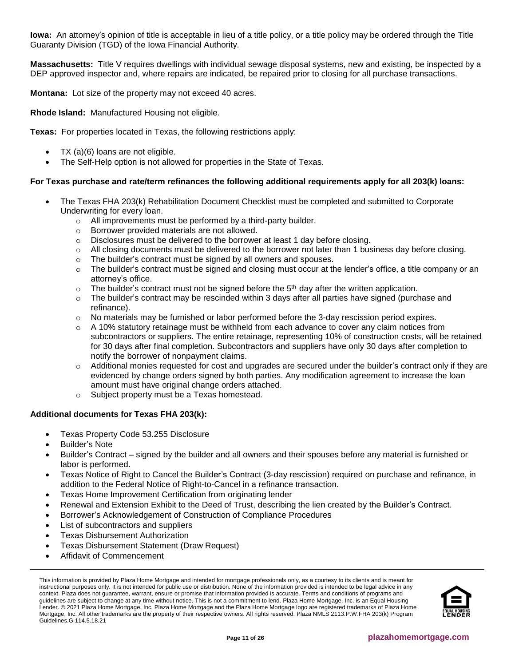**Iowa:** An attorney's opinion of title is acceptable in lieu of a title policy, or a title policy may be ordered through the Title Guaranty Division (TGD) of the Iowa Financial Authority.

**Massachusetts:** Title V requires dwellings with individual sewage disposal systems, new and existing, be inspected by a DEP approved inspector and, where repairs are indicated, be repaired prior to closing for all purchase transactions.

**Montana:** Lot size of the property may not exceed 40 acres.

**Rhode Island:** Manufactured Housing not eligible.

**Texas:** For properties located in Texas, the following restrictions apply:

- TX  $(a)(6)$  loans are not eligible.
- The Self-Help option is not allowed for properties in the State of Texas.

## **For Texas purchase and rate/term refinances the following additional requirements apply for all 203(k) loans:**

- The Texas FHA 203(k) Rehabilitation Document Checklist must be completed and submitted to Corporate Underwriting for every loan.
	- o All improvements must be performed by a third-party builder.
	- o Borrower provided materials are not allowed.
	- o Disclosures must be delivered to the borrower at least 1 day before closing.
	- $\circ$  All closing documents must be delivered to the borrower not later than 1 business day before closing.
	- o The builder's contract must be signed by all owners and spouses.
	- $\circ$  The builder's contract must be signed and closing must occur at the lender's office, a title company or an attorney's office.
	- $\circ$  The builder's contract must not be signed before the 5<sup>th</sup> day after the written application.
	- $\circ$  The builder's contract may be rescinded within 3 days after all parties have signed (purchase and refinance).
	- $\circ$  No materials may be furnished or labor performed before the 3-day rescission period expires.
	- $\circ$  A 10% statutory retainage must be withheld from each advance to cover any claim notices from subcontractors or suppliers. The entire retainage, representing 10% of construction costs, will be retained for 30 days after final completion. Subcontractors and suppliers have only 30 days after completion to notify the borrower of nonpayment claims.
	- o Additional monies requested for cost and upgrades are secured under the builder's contract only if they are evidenced by change orders signed by both parties. Any modification agreement to increase the loan amount must have original change orders attached.
	- o Subject property must be a Texas homestead.

## **Additional documents for Texas FHA 203(k):**

- Texas Property Code 53.255 Disclosure
- Builder's Note
- Builder's Contract signed by the builder and all owners and their spouses before any material is furnished or labor is performed.
- Texas Notice of Right to Cancel the Builder's Contract (3-day rescission) required on purchase and refinance, in addition to the Federal Notice of Right-to-Cancel in a refinance transaction.
- Texas Home Improvement Certification from originating lender
- Renewal and Extension Exhibit to the Deed of Trust, describing the lien created by the Builder's Contract.
- Borrower's Acknowledgement of Construction of Compliance Procedures
- List of subcontractors and suppliers
- Texas Disbursement Authorization
- Texas Disbursement Statement (Draw Request)
- Affidavit of Commencement

This information is provided by Plaza Home Mortgage and intended for mortgage professionals only, as a courtesy to its clients and is meant for instructional purposes only. It is not intended for public use or distribution. None of the information provided is intended to be legal advice in any context. Plaza does not guarantee, warrant, ensure or promise that information provided is accurate. Terms and conditions of programs and guidelines are subject to change at any time without notice. This is not a commitment to lend. Plaza Home Mortgage, Inc. is an Equal Housing Lender. © 2021 Plaza Home Mortgage, Inc. Plaza Home Mortgage and the Plaza Home Mortgage logo are registered trademarks of Plaza Home Mortgage, Inc. All other trademarks are the property of their respective owners. All rights reserved. Plaza NMLS 2113.P.W.FHA 203(k) Program Guidelines.G.114.5.18.21

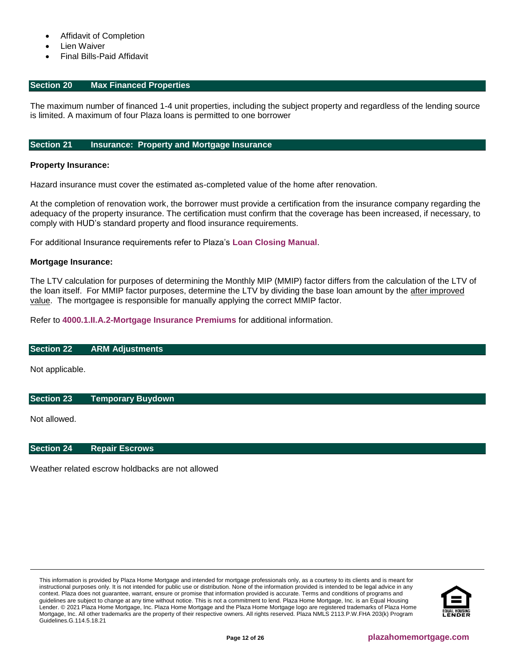- Affidavit of Completion
- **Lien Waiver**
- Final Bills-Paid Affidavit

#### <span id="page-11-0"></span>**Section 20 Max Financed Properties**

The maximum number of financed 1-4 unit properties, including the subject property and regardless of the lending source is limited. A maximum of four Plaza loans is permitted to one borrower

#### <span id="page-11-1"></span>**Section 21 Insurance: Property and Mortgage Insurance**

#### **Property Insurance:**

Hazard insurance must cover the estimated as-completed value of the home after renovation.

At the completion of renovation work, the borrower must provide a certification from the insurance company regarding the adequacy of the property insurance. The certification must confirm that the coverage has been increased, if necessary, to comply with HUD's standard property and flood insurance requirements.

For additional Insurance requirements refer to Plaza's **[Loan Closing Manual](https://resourcecenter.plazahomemortgage.com/phmidocpublisher.nsf/All/532EDA617B4E7F1A07257A330057B5D5?OpenDocument)**.

#### **Mortgage Insurance:**

The LTV calculation for purposes of determining the Monthly MIP (MMIP) factor differs from the calculation of the LTV of the loan itself. For MMIP factor purposes, determine the LTV by dividing the base loan amount by the after improved value. The mortgagee is responsible for manually applying the correct MMIP factor.

Refer to **[4000.1.II.A.2-Mortgage Insurance Premiums](http://portal.hud.gov/hudportal/documents/huddoc?id=40001HSGH.pdf#page=167)** for additional information.

#### <span id="page-11-2"></span>**Section 22 ARM Adjustments**

Not applicable.

#### <span id="page-11-3"></span>**Section 23 Temporary Buydown**

Not allowed.

#### <span id="page-11-4"></span>**Section 24 Repair Escrows**

Weather related escrow holdbacks are not allowed

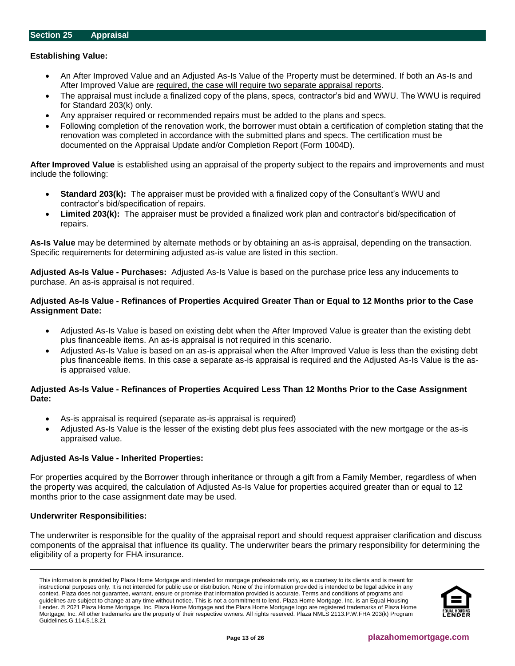## <span id="page-12-0"></span>**Establishing Value:**

- An After Improved Value and an Adjusted As-Is Value of the Property must be determined. If both an As-Is and After Improved Value are required, the case will require two separate appraisal reports.
- The appraisal must include a finalized copy of the plans, specs, contractor's bid and WWU. The WWU is required for Standard 203(k) only.
- Any appraiser required or recommended repairs must be added to the plans and specs.
- Following completion of the renovation work, the borrower must obtain a certification of completion stating that the renovation was completed in accordance with the submitted plans and specs. The certification must be documented on the Appraisal Update and/or Completion Report (Form 1004D).

**After Improved Value** is established using an appraisal of the property subject to the repairs and improvements and must include the following:

- **Standard 203(k):** The appraiser must be provided with a finalized copy of the Consultant's WWU and contractor's bid/specification of repairs.
- **Limited 203(k):** The appraiser must be provided a finalized work plan and contractor's bid/specification of repairs.

**As-Is Value** may be determined by alternate methods or by obtaining an as-is appraisal, depending on the transaction. Specific requirements for determining adjusted as-is value are listed in this section.

**Adjusted As-Is Value - Purchases:** Adjusted As-Is Value is based on the purchase price less any inducements to purchase. An as-is appraisal is not required.

## **Adjusted As-Is Value - Refinances of Properties Acquired Greater Than or Equal to 12 Months prior to the Case Assignment Date:**

- Adjusted As-Is Value is based on existing debt when the After Improved Value is greater than the existing debt plus financeable items. An as-is appraisal is not required in this scenario.
- Adjusted As-Is Value is based on an as-is appraisal when the After Improved Value is less than the existing debt plus financeable items. In this case a separate as-is appraisal is required and the Adjusted As-Is Value is the asis appraised value.

## **Adjusted As-Is Value - Refinances of Properties Acquired Less Than 12 Months Prior to the Case Assignment Date:**

- As-is appraisal is required (separate as-is appraisal is required)
- Adjusted As-Is Value is the lesser of the existing debt plus fees associated with the new mortgage or the as-is appraised value.

## **Adjusted As-Is Value - Inherited Properties:**

For properties acquired by the Borrower through inheritance or through a gift from a Family Member, regardless of when the property was acquired, the calculation of Adjusted As-Is Value for properties acquired greater than or equal to 12 months prior to the case assignment date may be used.

## **Underwriter Responsibilities:**

The underwriter is responsible for the quality of the appraisal report and should request appraiser clarification and discuss components of the appraisal that influence its quality. The underwriter bears the primary responsibility for determining the eligibility of a property for FHA insurance.

This information is provided by Plaza Home Mortgage and intended for mortgage professionals only, as a courtesy to its clients and is meant for instructional purposes only. It is not intended for public use or distribution. None of the information provided is intended to be legal advice in any context. Plaza does not guarantee, warrant, ensure or promise that information provided is accurate. Terms and conditions of programs and guidelines are subject to change at any time without notice. This is not a commitment to lend. Plaza Home Mortgage, Inc. is an Equal Housing Lender. © 2021 Plaza Home Mortgage, Inc. Plaza Home Mortgage and the Plaza Home Mortgage logo are registered trademarks of Plaza Home Mortgage, Inc. All other trademarks are the property of their respective owners. All rights reserved. Plaza NMLS 2113.P.W.FHA 203(k) Program Guidelines.G.114.5.18.21

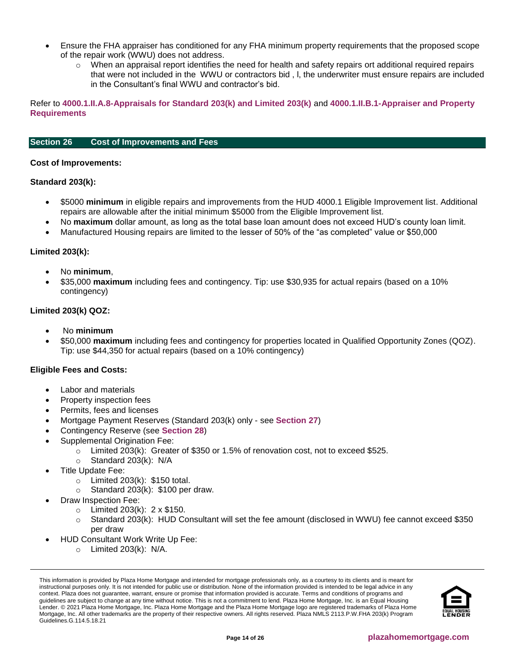- Ensure the FHA appraiser has conditioned for any FHA minimum property requirements that the proposed scope of the repair work (WWU) does not address.
	- $\circ$  When an appraisal report identifies the need for health and safety repairs ort additional required repairs that were not included in the WWU or contractors bid , l, the underwriter must ensure repairs are included in the Consultant's final WWU and contractor's bid.

Refer to **[4000.1.II.A.8-Appraisals for Standard 203\(k\) and Limited 203\(k\)](http://portal.hud.gov/hudportal/documents/huddoc?id=40001HSGH.pdf#page=374)** and **[4000.1.II.B.1-Appraiser and Property](http://portal.hud.gov/hudportal/documents/huddoc?id=40001HSGH.pdf#page=476)  [Requirements](http://portal.hud.gov/hudportal/documents/huddoc?id=40001HSGH.pdf#page=476)**

# <span id="page-13-0"></span>**Section 26 Cost of Improvements and Fees**

#### **Cost of Improvements:**

#### **Standard 203(k):**

- \$5000 **minimum** in eligible repairs and improvements from the HUD 4000.1 Eligible Improvement list. Additional repairs are allowable after the initial minimum \$5000 from the Eligible Improvement list.
- No **maximum** dollar amount, as long as the total base loan amount does not exceed HUD's county loan limit.
- Manufactured Housing repairs are limited to the lesser of 50% of the "as completed" value or \$50,000

#### **Limited 203(k):**

- No **minimum**,
- \$35,000 **maximum** including fees and contingency. Tip: use \$30,935 for actual repairs (based on a 10% contingency)

# **Limited 203(k) QOZ:**

- No **minimum**
- \$50,000 **maximum** including fees and contingency for properties located in Qualified Opportunity Zones (QOZ). Tip: use \$44,350 for actual repairs (based on a 10% contingency)

## **Eligible Fees and Costs:**

- Labor and materials
- Property inspection fees
- Permits, fees and licenses
- Mortgage Payment Reserves (Standard 203(k) only see **[Section 27](#page-15-0)**)
- Contingency Reserve (see **[Section 28](#page-15-1)**)
- Supplemental Origination Fee:
	- $\circ$  Limited 203(k): Greater of \$350 or 1.5% of renovation cost, not to exceed \$525.
	- o Standard 203(k): N/A
- Title Update Fee:
	- $\circ$  Limited 203(k): \$150 total.
	- $\circ$  Standard 203(k): \$100 per draw.
- Draw Inspection Fee:
	- $\circ$  Limited 203(k): 2 x \$150.
	- o Standard 203(k): HUD Consultant will set the fee amount (disclosed in WWU) fee cannot exceed \$350 per draw
- HUD Consultant Work Write Up Fee:
	- $\circ$  Limited 203(k): N/A.

This information is provided by Plaza Home Mortgage and intended for mortgage professionals only, as a courtesy to its clients and is meant for instructional purposes only. It is not intended for public use or distribution. None of the information provided is intended to be legal advice in any context. Plaza does not guarantee, warrant, ensure or promise that information provided is accurate. Terms and conditions of programs and guidelines are subject to change at any time without notice. This is not a commitment to lend. Plaza Home Mortgage, Inc. is an Equal Housing Lender. © 2021 Plaza Home Mortgage, Inc. Plaza Home Mortgage and the Plaza Home Mortgage logo are registered trademarks of Plaza Home Mortgage, Inc. All other trademarks are the property of their respective owners. All rights reserved. Plaza NMLS 2113.P.W.FHA 203(k) Program Guidelines.G.114.5.18.21

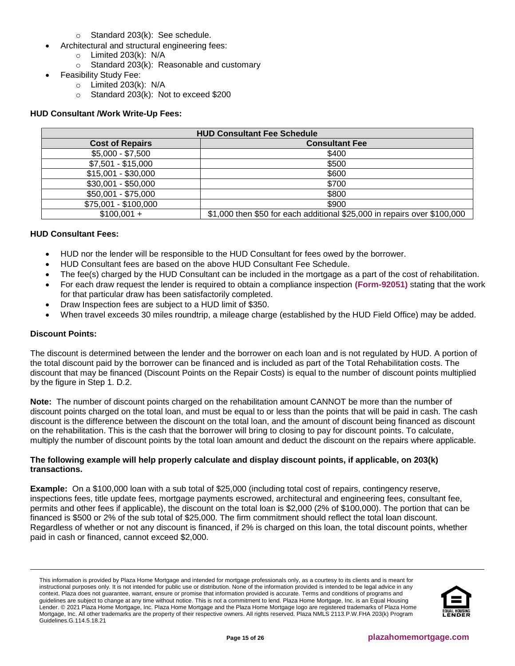- o Standard 203(k): See schedule.
- Architectural and structural engineering fees:
	- $\circ$  Limited 203(k): N/A
		- $\circ$  Standard 203(k): Reasonable and customary
- Feasibility Study Fee:
	- o Limited 203(k): N/A
	- o Standard 203(k): Not to exceed \$200

# **HUD Consultant /Work Write-Up Fees:**

| <b>HUD Consultant Fee Schedule</b> |                                                                          |  |
|------------------------------------|--------------------------------------------------------------------------|--|
| <b>Cost of Repairs</b>             | <b>Consultant Fee</b>                                                    |  |
| $$5,000 - $7,500$                  | \$400                                                                    |  |
| $$7,501 - $15,000$                 | \$500                                                                    |  |
| $$15,001 - $30,000$                | \$600                                                                    |  |
| $$30,001 - $50,000$                | \$700                                                                    |  |
| $$50,001 - $75,000$                | \$800                                                                    |  |
| \$75,001 - \$100,000               | \$900                                                                    |  |
| $$100,001 +$                       | \$1,000 then \$50 for each additional \$25,000 in repairs over \$100,000 |  |

# **HUD Consultant Fees:**

- HUD nor the lender will be responsible to the HUD Consultant for fees owed by the borrower.
- HUD Consultant fees are based on the above HUD Consultant Fee Schedule.
- The fee(s) charged by the HUD Consultant can be included in the mortgage as a part of the cost of rehabilitation.
- For each draw request the lender is required to obtain a compliance inspection **[\(Form-92051\)](http://portal.hud.gov/hudportal/documents/huddoc?id=92051.pdf)** stating that the work for that particular draw has been satisfactorily completed.
- Draw Inspection fees are subject to a HUD limit of \$350.
- When travel exceeds 30 miles roundtrip, a mileage charge (established by the HUD Field Office) may be added.

## **Discount Points:**

The discount is determined between the lender and the borrower on each loan and is not regulated by HUD. A portion of the total discount paid by the borrower can be financed and is included as part of the Total Rehabilitation costs. The discount that may be financed (Discount Points on the Repair Costs) is equal to the number of discount points multiplied by the figure in Step 1. D.2.

**Note:** The number of discount points charged on the rehabilitation amount CANNOT be more than the number of discount points charged on the total loan, and must be equal to or less than the points that will be paid in cash. The cash discount is the difference between the discount on the total loan, and the amount of discount being financed as discount on the rehabilitation. This is the cash that the borrower will bring to closing to pay for discount points. To calculate, multiply the number of discount points by the total loan amount and deduct the discount on the repairs where applicable.

# **The following example will help properly calculate and display discount points, if applicable, on 203(k) transactions.**

**Example:** On a \$100,000 loan with a sub total of \$25,000 (including total cost of repairs, contingency reserve, inspections fees, title update fees, mortgage payments escrowed, architectural and engineering fees, consultant fee, permits and other fees if applicable), the discount on the total loan is \$2,000 (2% of \$100,000). The portion that can be financed is \$500 or 2% of the sub total of \$25,000. The firm commitment should reflect the total loan discount. Regardless of whether or not any discount is financed, if 2% is charged on this loan, the total discount points, whether paid in cash or financed, cannot exceed \$2,000.

This information is provided by Plaza Home Mortgage and intended for mortgage professionals only, as a courtesy to its clients and is meant for instructional purposes only. It is not intended for public use or distribution. None of the information provided is intended to be legal advice in any context. Plaza does not guarantee, warrant, ensure or promise that information provided is accurate. Terms and conditions of programs and guidelines are subject to change at any time without notice. This is not a commitment to lend. Plaza Home Mortgage, Inc. is an Equal Housing Lender. © 2021 Plaza Home Mortgage, Inc. Plaza Home Mortgage and the Plaza Home Mortgage logo are registered trademarks of Plaza Home Mortgage, Inc. All other trademarks are the property of their respective owners. All rights reserved. Plaza NMLS 2113.P.W.FHA 203(k) Program Guidelines.G.114.5.18.21

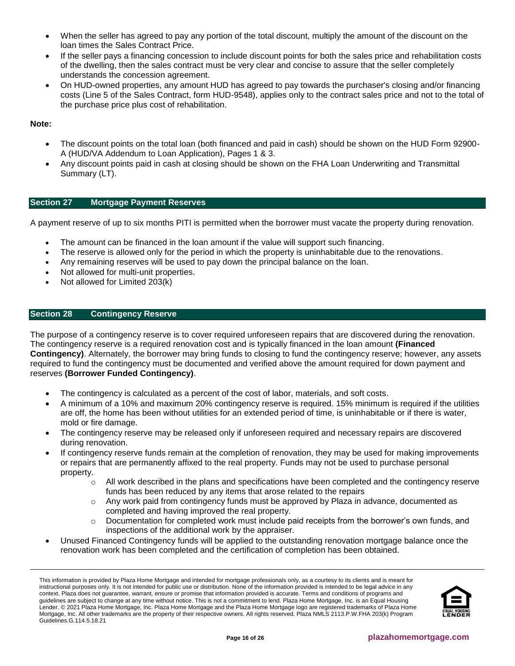- When the seller has agreed to pay any portion of the total discount, multiply the amount of the discount on the loan times the Sales Contract Price.
- If the seller pays a financing concession to include discount points for both the sales price and rehabilitation costs of the dwelling, then the sales contract must be very clear and concise to assure that the seller completely understands the concession agreement.
- On HUD-owned properties, any amount HUD has agreed to pay towards the purchaser's closing and/or financing costs (Line 5 of the Sales Contract, form HUD-9548), applies only to the contract sales price and not to the total of the purchase price plus cost of rehabilitation.

# **Note:**

- The discount points on the total loan (both financed and paid in cash) should be shown on the HUD Form 92900- A (HUD/VA Addendum to Loan Application), Pages 1 & 3.
- Any discount points paid in cash at closing should be shown on the FHA Loan Underwriting and Transmittal Summary (LT).

# <span id="page-15-0"></span>**Section 27 Mortgage Payment Reserves**

A payment reserve of up to six months PITI is permitted when the borrower must vacate the property during renovation.

- The amount can be financed in the loan amount if the value will support such financing.
- The reserve is allowed only for the period in which the property is uninhabitable due to the renovations.
- Any remaining reserves will be used to pay down the principal balance on the loan.
- Not allowed for multi-unit properties.
- Not allowed for Limited 203(k)

# <span id="page-15-1"></span>**Section 28 Contingency Reserve**

The purpose of a contingency reserve is to cover required unforeseen repairs that are discovered during the renovation. The contingency reserve is a required renovation cost and is typically financed in the loan amount **(Financed Contingency)**. Alternately, the borrower may bring funds to closing to fund the contingency reserve; however, any assets required to fund the contingency must be documented and verified above the amount required for down payment and reserves **(Borrower Funded Contingency)**.

- The contingency is calculated as a percent of the cost of labor, materials, and soft costs.
- A minimum of a 10% and maximum 20% contingency reserve is required. 15% minimum is required if the utilities are off, the home has been without utilities for an extended period of time, is uninhabitable or if there is water, mold or fire damage.
- The contingency reserve may be released only if unforeseen required and necessary repairs are discovered during renovation.
- If contingency reserve funds remain at the completion of renovation, they may be used for making improvements or repairs that are permanently affixed to the real property. Funds may not be used to purchase personal property.
	- $\circ$  All work described in the plans and specifications have been completed and the contingency reserve funds has been reduced by any items that arose related to the repairs
	- $\circ$  Any work paid from contingency funds must be approved by Plaza in advance, documented as completed and having improved the real property.
	- $\circ$  Documentation for completed work must include paid receipts from the borrower's own funds, and inspections of the additional work by the appraiser.
- Unused Financed Contingency funds will be applied to the outstanding renovation mortgage balance once the renovation work has been completed and the certification of completion has been obtained.

This information is provided by Plaza Home Mortgage and intended for mortgage professionals only, as a courtesy to its clients and is meant for instructional purposes only. It is not intended for public use or distribution. None of the information provided is intended to be legal advice in any context. Plaza does not guarantee, warrant, ensure or promise that information provided is accurate. Terms and conditions of programs and guidelines are subject to change at any time without notice. This is not a commitment to lend. Plaza Home Mortgage, Inc. is an Equal Housing Lender. © 2021 Plaza Home Mortgage, Inc. Plaza Home Mortgage and the Plaza Home Mortgage logo are registered trademarks of Plaza Home Mortgage, Inc. All other trademarks are the property of their respective owners. All rights reserved. Plaza NMLS 2113.P.W.FHA 203(k) Program Guidelines.G.114.5.18.21

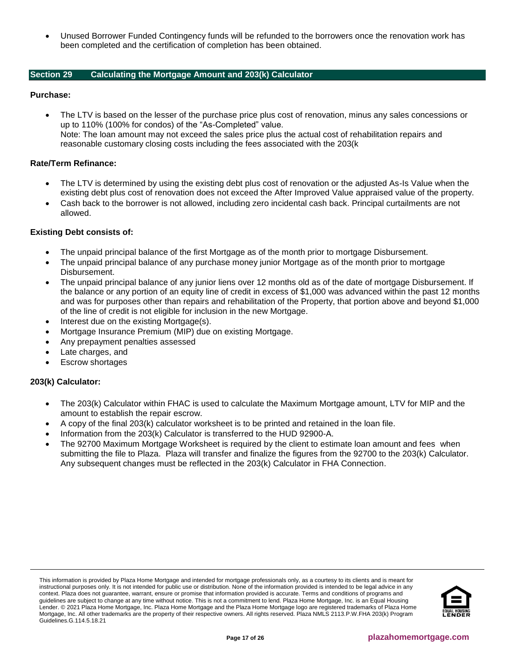• Unused Borrower Funded Contingency funds will be refunded to the borrowers once the renovation work has been completed and the certification of completion has been obtained.

# <span id="page-16-0"></span>**Section 29 Calculating the Mortgage Amount and 203(k) Calculator**

## **Purchase:**

• The LTV is based on the lesser of the purchase price plus cost of renovation, minus any sales concessions or up to 110% (100% for condos) of the "As-Completed" value. Note: The loan amount may not exceed the sales price plus the actual cost of rehabilitation repairs and reasonable customary closing costs including the fees associated with the 203(k

# **Rate/Term Refinance:**

- The LTV is determined by using the existing debt plus cost of renovation or the adjusted As-Is Value when the existing debt plus cost of renovation does not exceed the After Improved Value appraised value of the property.
- Cash back to the borrower is not allowed, including zero incidental cash back. Principal curtailments are not allowed.

## **Existing Debt consists of:**

- The unpaid principal balance of the first Mortgage as of the month prior to mortgage Disbursement.
- The unpaid principal balance of any purchase money junior Mortgage as of the month prior to mortgage Disbursement.
- The unpaid principal balance of any junior liens over 12 months old as of the date of mortgage Disbursement. If the balance or any portion of an equity line of credit in excess of \$1,000 was advanced within the past 12 months and was for purposes other than repairs and rehabilitation of the Property, that portion above and beyond \$1,000 of the line of credit is not eligible for inclusion in the new Mortgage.
- Interest due on the existing Mortgage(s).
- Mortgage Insurance Premium (MIP) due on existing Mortgage.
- Any prepayment penalties assessed
- Late charges, and
- Escrow shortages

## **203(k) Calculator:**

- The 203(k) Calculator within FHAC is used to calculate the Maximum Mortgage amount, LTV for MIP and the amount to establish the repair escrow.
- A copy of the final 203(k) calculator worksheet is to be printed and retained in the loan file.
- Information from the 203(k) Calculator is transferred to the HUD 92900-A.
- The 92700 Maximum Mortgage Worksheet is required by the client to estimate loan amount and fees when submitting the file to Plaza. Plaza will transfer and finalize the figures from the 92700 to the 203(k) Calculator. Any subsequent changes must be reflected in the 203(k) Calculator in FHA Connection.

This information is provided by Plaza Home Mortgage and intended for mortgage professionals only, as a courtesy to its clients and is meant for instructional purposes only. It is not intended for public use or distribution. None of the information provided is intended to be legal advice in any context. Plaza does not guarantee, warrant, ensure or promise that information provided is accurate. Terms and conditions of programs and guidelines are subject to change at any time without notice. This is not a commitment to lend. Plaza Home Mortgage, Inc. is an Equal Housing Lender. © 2021 Plaza Home Mortgage, Inc. Plaza Home Mortgage and the Plaza Home Mortgage logo are registered trademarks of Plaza Home Mortgage, Inc. All other trademarks are the property of their respective owners. All rights reserved. Plaza NMLS 2113.P.W.FHA 203(k) Program Guidelines.G.114.5.18.21

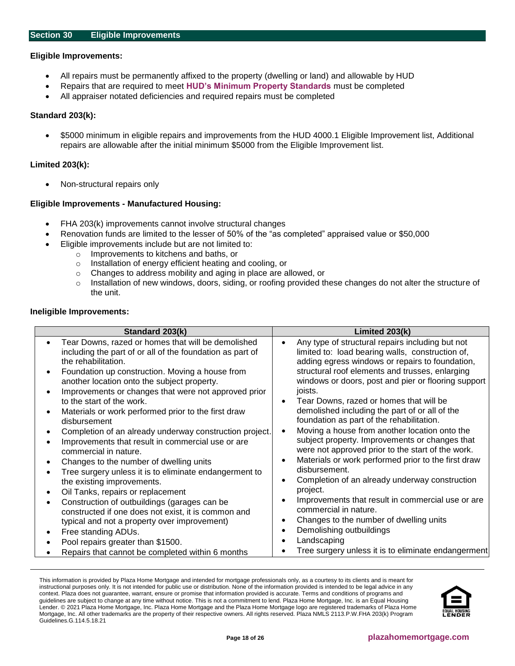#### <span id="page-17-0"></span>**Eligible Improvements:**

- All repairs must be permanently affixed to the property (dwelling or land) and allowable by HUD
- Repairs that are required to meet **[HUD's Minimum Property Standards](http://portal.hud.gov/hudportal/HUD?src=/program_offices/housing/ramh/mps/mhsmpsp)** must be completed
- All appraiser notated deficiencies and required repairs must be completed

#### **Standard 203(k):**

• \$5000 minimum in eligible repairs and improvements from the HUD 4000.1 Eligible Improvement list, Additional repairs are allowable after the initial minimum \$5000 from the Eligible Improvement list.

#### **Limited 203(k):**

• Non-structural repairs only

## **Eligible Improvements - Manufactured Housing:**

- FHA 203(k) improvements cannot involve structural changes
- Renovation funds are limited to the lesser of 50% of the "as completed" appraised value or \$50,000
	- Eligible improvements include but are not limited to:
		- o Improvements to kitchens and baths, or
		- o Installation of energy efficient heating and cooling, or
		- o Changes to address mobility and aging in place are allowed, or
		- $\circ$  Installation of new windows, doors, siding, or roofing provided these changes do not alter the structure of the unit.

#### **Ineligible Improvements:**

| Standard 203(k)<br>Tear Downs, razed or homes that will be demolished<br>including the part of or all of the foundation as part of<br>the rehabilitation.<br>Foundation up construction. Moving a house from<br>another location onto the subject property.<br>Improvements or changes that were not approved prior<br>to the start of the work.<br>Materials or work performed prior to the first draw<br>disbursement<br>Completion of an already underway construction project.<br>Improvements that result in commercial use or are<br>commercial in nature.<br>Changes to the number of dwelling units<br>Tree surgery unless it is to eliminate endangerment to<br>the existing improvements. | Limited $203(k)$<br>Any type of structural repairs including but not<br>$\bullet$<br>limited to: load bearing walls, construction of,<br>adding egress windows or repairs to foundation,<br>structural roof elements and trusses, enlarging<br>windows or doors, post and pier or flooring support<br>joists.<br>Tear Downs, razed or homes that will be<br>demolished including the part of or all of the<br>foundation as part of the rehabilitation.<br>Moving a house from another location onto the<br>$\bullet$<br>subject property. Improvements or changes that<br>were not approved prior to the start of the work.<br>Materials or work performed prior to the first draw<br>$\epsilon$<br>disbursement.<br>Completion of an already underway construction<br>$\bullet$ |
|-----------------------------------------------------------------------------------------------------------------------------------------------------------------------------------------------------------------------------------------------------------------------------------------------------------------------------------------------------------------------------------------------------------------------------------------------------------------------------------------------------------------------------------------------------------------------------------------------------------------------------------------------------------------------------------------------------|-----------------------------------------------------------------------------------------------------------------------------------------------------------------------------------------------------------------------------------------------------------------------------------------------------------------------------------------------------------------------------------------------------------------------------------------------------------------------------------------------------------------------------------------------------------------------------------------------------------------------------------------------------------------------------------------------------------------------------------------------------------------------------------|
| Oil Tanks, repairs or replacement                                                                                                                                                                                                                                                                                                                                                                                                                                                                                                                                                                                                                                                                   | project.                                                                                                                                                                                                                                                                                                                                                                                                                                                                                                                                                                                                                                                                                                                                                                          |
| Construction of outbuildings (garages can be<br>constructed if one does not exist, it is common and                                                                                                                                                                                                                                                                                                                                                                                                                                                                                                                                                                                                 | Improvements that result in commercial use or are<br>commercial in nature.                                                                                                                                                                                                                                                                                                                                                                                                                                                                                                                                                                                                                                                                                                        |
| typical and not a property over improvement)                                                                                                                                                                                                                                                                                                                                                                                                                                                                                                                                                                                                                                                        | Changes to the number of dwelling units                                                                                                                                                                                                                                                                                                                                                                                                                                                                                                                                                                                                                                                                                                                                           |
| Free standing ADUs.                                                                                                                                                                                                                                                                                                                                                                                                                                                                                                                                                                                                                                                                                 | Demolishing outbuildings<br>٠                                                                                                                                                                                                                                                                                                                                                                                                                                                                                                                                                                                                                                                                                                                                                     |
| Pool repairs greater than \$1500.                                                                                                                                                                                                                                                                                                                                                                                                                                                                                                                                                                                                                                                                   | Landscaping                                                                                                                                                                                                                                                                                                                                                                                                                                                                                                                                                                                                                                                                                                                                                                       |
| Repairs that cannot be completed within 6 months                                                                                                                                                                                                                                                                                                                                                                                                                                                                                                                                                                                                                                                    | Tree surgery unless it is to eliminate endangerment                                                                                                                                                                                                                                                                                                                                                                                                                                                                                                                                                                                                                                                                                                                               |

This information is provided by Plaza Home Mortgage and intended for mortgage professionals only, as a courtesy to its clients and is meant for instructional purposes only. It is not intended for public use or distribution. None of the information provided is intended to be legal advice in any context. Plaza does not guarantee, warrant, ensure or promise that information provided is accurate. Terms and conditions of programs and guidelines are subject to change at any time without notice. This is not a commitment to lend. Plaza Home Mortgage, Inc. is an Equal Housing Lender. © 2021 Plaza Home Mortgage, Inc. Plaza Home Mortgage and the Plaza Home Mortgage logo are registered trademarks of Plaza Home Mortgage, Inc. All other trademarks are the property of their respective owners. All rights reserved. Plaza NMLS 2113.P.W.FHA 203(k) Program Guidelines.G.114.5.18.21

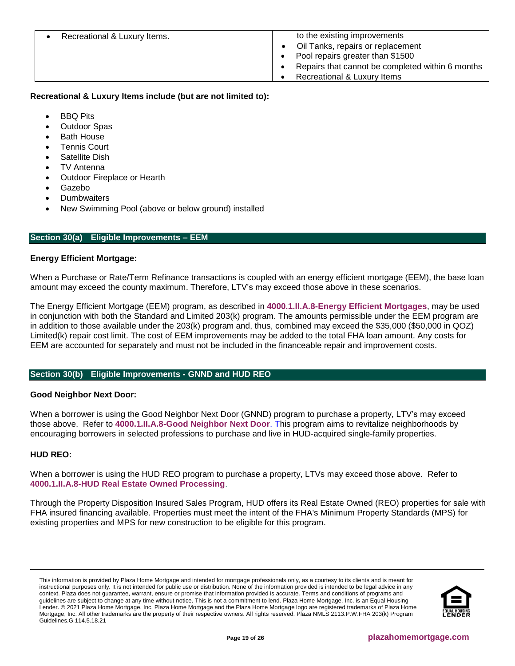| Recreational & Luxury Items. | to the existing improvements                     |
|------------------------------|--------------------------------------------------|
|                              | Oil Tanks, repairs or replacement                |
|                              | Pool repairs greater than \$1500                 |
|                              | Repairs that cannot be completed within 6 months |
|                              | Recreational & Luxury Items                      |

# **Recreational & Luxury Items include (but are not limited to):**

- BBQ Pits
- Outdoor Spas
- Bath House
- Tennis Court
- Satellite Dish
- TV Antenna
- Outdoor Fireplace or Hearth
- Gazebo
- **Dumbwaiters**
- New Swimming Pool (above or below ground) installed

## <span id="page-18-0"></span>**Section 30(a) Eligible Improvements – EEM**

## **Energy Efficient Mortgage:**

When a Purchase or Rate/Term Refinance transactions is coupled with an energy efficient mortgage (EEM), the base loan amount may exceed the county maximum. Therefore, LTV's may exceed those above in these scenarios.

The Energy Efficient Mortgage (EEM) program, as described in **[4000.1.II.A.8-Energy Efficient Mortgages](http://portal.hud.gov/hudportal/HUD?src=/program_offices/housing/sfh/eem/eemlette)**, may be used in conjunction with both the Standard and Limited 203(k) program. The amounts permissible under the EEM program are in addition to those available under the 203(k) program and, thus, combined may exceed the \$35,000 (\$50,000 in QOZ) Limited(k) repair cost limit. The cost of EEM improvements may be added to the total FHA loan amount. Any costs for EEM are accounted for separately and must not be included in the financeable repair and improvement costs.

# <span id="page-18-1"></span>**Section 30(b) Eligible Improvements - GNND and HUD REO**

## **Good Neighbor Next Door:**

When a borrower is using the Good Neighbor Next Door (GNND) program to purchase a property, LTV's may exceed those above. Refer to **[4000.1.II.A.8-Good Neighbor Next Door](http://portal.hud.gov/hudportal/documents/huddoc?id=40001HSGH.pdf#page=457)**. This program aims to revitalize neighborhoods by encouraging borrowers in selected professions to purchase and live in HUD-acquired single-family properties.

## **HUD REO:**

When a borrower is using the HUD REO program to purchase a property, LTVs may exceed those above. Refer to **[4000.1.II.A.8-HUD Real Estate Owned Processing](http://portal.hud.gov/hudportal/documents/huddoc?id=40001HSGH.pdf#page=457)**.

Through the Property Disposition Insured Sales Program, HUD offers its Real Estate Owned (REO) properties for sale with FHA insured financing available. Properties must meet the intent of the FHA's Minimum Property Standards (MPS) for existing properties and MPS for new construction to be eligible for this program.

This information is provided by Plaza Home Mortgage and intended for mortgage professionals only, as a courtesy to its clients and is meant for instructional purposes only. It is not intended for public use or distribution. None of the information provided is intended to be legal advice in any context. Plaza does not guarantee, warrant, ensure or promise that information provided is accurate. Terms and conditions of programs and guidelines are subject to change at any time without notice. This is not a commitment to lend. Plaza Home Mortgage, Inc. is an Equal Housing Lender. © 2021 Plaza Home Mortgage, Inc. Plaza Home Mortgage and the Plaza Home Mortgage logo are registered trademarks of Plaza Home Mortgage, Inc. All other trademarks are the property of their respective owners. All rights reserved. Plaza NMLS 2113.P.W.FHA 203(k) Program Guidelines.G.114.5.18.21

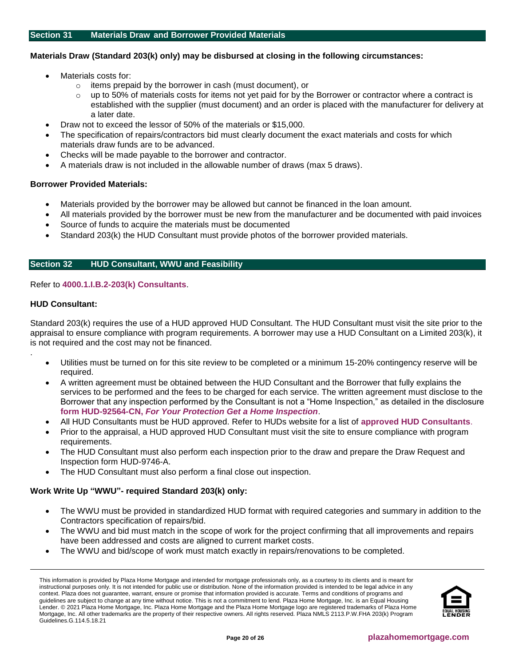#### <span id="page-19-0"></span>**Materials Draw (Standard 203(k) only) may be disbursed at closing in the following circumstances:**

- Materials costs for:
	- o items prepaid by the borrower in cash (must document), or
	- up to 50% of materials costs for items not yet paid for by the Borrower or contractor where a contract is established with the supplier (must document) and an order is placed with the manufacturer for delivery at a later date.
- Draw not to exceed the lessor of 50% of the materials or \$15,000.
- The specification of repairs/contractors bid must clearly document the exact materials and costs for which materials draw funds are to be advanced.
- Checks will be made payable to the borrower and contractor.
- A materials draw is not included in the allowable number of draws (max 5 draws).

#### **Borrower Provided Materials:**

- Materials provided by the borrower may be allowed but cannot be financed in the loan amount.
- All materials provided by the borrower must be new from the manufacturer and be documented with paid invoices
- Source of funds to acquire the materials must be documented
- Standard 203(k) the HUD Consultant must provide photos of the borrower provided materials.

#### <span id="page-19-1"></span>**Section 32 HUD Consultant, WWU and Feasibility**

#### Refer to **[4000.1.I.B.2-203\(k\) Consultants](http://portal.hud.gov/hudportal/documents/huddoc?id=40001HSGH.pdf#page=77)**.

#### **HUD Consultant:**

.

Standard 203(k) requires the use of a HUD approved HUD Consultant. The HUD Consultant must visit the site prior to the appraisal to ensure compliance with program requirements. A borrower may use a HUD Consultant on a Limited 203(k), it is not required and the cost may not be financed.

- Utilities must be turned on for this site review to be completed or a minimum 15-20% contingency reserve will be required.
- A written agreement must be obtained between the HUD Consultant and the Borrower that fully explains the services to be performed and the fees to be charged for each service. The written agreement must disclose to the Borrower that any inspection performed by the Consultant is not a "Home Inspection," as detailed in the disclosure **form HUD-92564-CN,** *[For Your Protection Get a Home Inspection](https://portal.hud.gov/hudportal/documents/huddoc?id=92564-cn.pdf)*.
- All HUD Consultants must be HUD approved. Refer to HUDs website for a list of **[approved HUD Consultants](https://entp.hud.gov/idapp/html/f17cnsltdata.cfm)**.
- Prior to the appraisal, a HUD approved HUD Consultant must visit the site to ensure compliance with program requirements.
- The HUD Consultant must also perform each inspection prior to the draw and prepare the Draw Request and Inspection form HUD-9746-A.
- The HUD Consultant must also perform a final close out inspection.

## **Work Write Up "WWU"- required Standard 203(k) only:**

- The WWU must be provided in standardized HUD format with required categories and summary in addition to the Contractors specification of repairs/bid.
- The WWU and bid must match in the scope of work for the project confirming that all improvements and repairs have been addressed and costs are aligned to current market costs.
- The WWU and bid/scope of work must match exactly in repairs/renovations to be completed.

This information is provided by Plaza Home Mortgage and intended for mortgage professionals only, as a courtesy to its clients and is meant for instructional purposes only. It is not intended for public use or distribution. None of the information provided is intended to be legal advice in any context. Plaza does not guarantee, warrant, ensure or promise that information provided is accurate. Terms and conditions of programs and guidelines are subject to change at any time without notice. This is not a commitment to lend. Plaza Home Mortgage, Inc. is an Equal Housing Lender. © 2021 Plaza Home Mortgage, Inc. Plaza Home Mortgage and the Plaza Home Mortgage logo are registered trademarks of Plaza Home Mortgage, Inc. All other trademarks are the property of their respective owners. All rights reserved. Plaza NMLS 2113.P.W.FHA 203(k) Program Guidelines.G.114.5.18.21

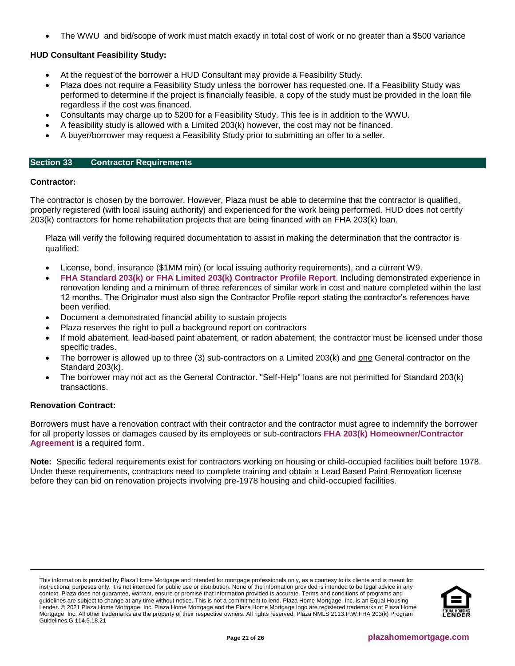• The WWU and bid/scope of work must match exactly in total cost of work or no greater than a \$500 variance

# **HUD Consultant Feasibility Study:**

- At the request of the borrower a HUD Consultant may provide a Feasibility Study.
- Plaza does not require a Feasibility Study unless the borrower has requested one. If a Feasibility Study was performed to determine if the project is financially feasible, a copy of the study must be provided in the loan file regardless if the cost was financed.
- Consultants may charge up to \$200 for a Feasibility Study. This fee is in addition to the WWU.
- A feasibility study is allowed with a Limited 203(k) however, the cost may not be financed.
- A buyer/borrower may request a Feasibility Study prior to submitting an offer to a seller.

#### <span id="page-20-0"></span>**Section 33 Contractor Requirements**

#### **Contractor:**

The contractor is chosen by the borrower. However, Plaza must be able to determine that the contractor is qualified, properly registered (with local issuing authority) and experienced for the work being performed. HUD does not certify 203(k) contractors for home rehabilitation projects that are being financed with an FHA 203(k) loan.

Plaza will verify the following required documentation to assist in making the determination that the contractor is qualified:

- License, bond, insurance (\$1MM min) (or local issuing authority requirements), and a current W9.
- **[FHA Standard 203\(k\) or FHA Limited 203\(k\) Contractor Profile Report](https://resourcecenter.plazahomemortgage.com/phmidocpublisher.nsf/All/1D28C23507312C2607257D3A00702809?OpenDocument)**. Including demonstrated experience in renovation lending and a minimum of three references of similar work in cost and nature completed within the last 12 months. The Originator must also sign the Contractor Profile report stating the contractor's references have been verified.
- Document a demonstrated financial ability to sustain projects
- Plaza reserves the right to pull a background report on contractors
- If mold abatement, lead-based paint abatement, or radon abatement, the contractor must be licensed under those specific trades.
- The borrower is allowed up to three (3) sub-contractors on a Limited 203(k) and one General contractor on the Standard 203(k).
- The borrower may not act as the General Contractor. "Self-Help" loans are not permitted for Standard 203(k) transactions.

## **Renovation Contract:**

Borrowers must have a renovation contract with their contractor and the contractor must agree to indemnify the borrower for all property losses or damages caused by its employees or sub-contractors **[FHA 203\(k\) Homeowner/Contractor](https://resourcecenter.plazahomemortgage.com/phmidocpublisher.nsf/All/4B8AA29591EA31AA07257D4300576F81?OpenDocument)  [Agreement](https://resourcecenter.plazahomemortgage.com/phmidocpublisher.nsf/All/4B8AA29591EA31AA07257D4300576F81?OpenDocument)** is a required form.

**Note:** Specific federal requirements exist for contractors working on housing or child-occupied facilities built before 1978. Under these requirements, contractors need to complete training and obtain a Lead Based Paint Renovation license before they can bid on renovation projects involving pre-1978 housing and child-occupied facilities.

This information is provided by Plaza Home Mortgage and intended for mortgage professionals only, as a courtesy to its clients and is meant for instructional purposes only. It is not intended for public use or distribution. None of the information provided is intended to be legal advice in any context. Plaza does not guarantee, warrant, ensure or promise that information provided is accurate. Terms and conditions of programs and guidelines are subject to change at any time without notice. This is not a commitment to lend. Plaza Home Mortgage, Inc. is an Equal Housing Lender. © 2021 Plaza Home Mortgage, Inc. Plaza Home Mortgage and the Plaza Home Mortgage logo are registered trademarks of Plaza Home Mortgage, Inc. All other trademarks are the property of their respective owners. All rights reserved. Plaza NMLS 2113.P.W.FHA 203(k) Program Guidelines.G.114.5.18.21

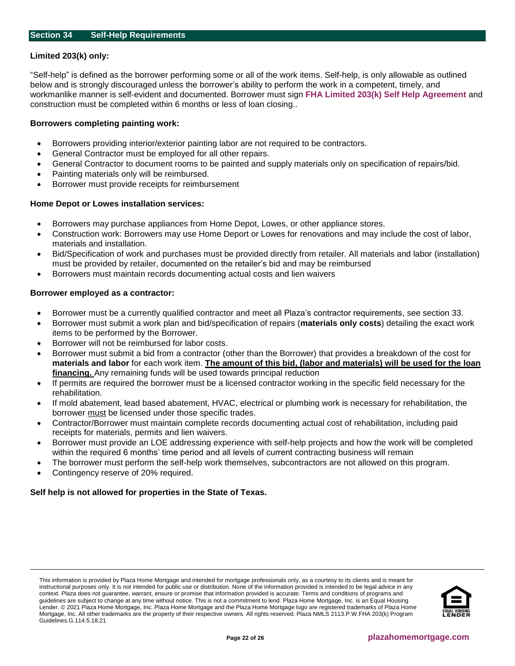# <span id="page-21-0"></span>**Limited 203(k) only:**

"Self-help" is defined as the borrower performing some or all of the work items. Self-help, is only allowable as outlined below and is strongly discouraged unless the borrower's ability to perform the work in a competent, timely, and workmanlike manner is self-evident and documented. Borrower must sign **[FHA Limited 203\(k\) Self Help Agreement](https://resourcecenter.plazahomemortgage.com/phmidocpublisher.nsf/All/C2EAB101B6BB924407257A1B005A3255?OpenDocument)** and construction must be completed within 6 months or less of loan closing..

## **Borrowers completing painting work:**

- Borrowers providing interior/exterior painting labor are not required to be contractors.
- General Contractor must be employed for all other repairs.
- General Contractor to document rooms to be painted and supply materials only on specification of repairs/bid.
- Painting materials only will be reimbursed.
- Borrower must provide receipts for reimbursement

# **Home Depot or Lowes installation services:**

- Borrowers may purchase appliances from Home Depot, Lowes, or other appliance stores.
- Construction work: Borrowers may use Home Deport or Lowes for renovations and may include the cost of labor, materials and installation.
- Bid/Specification of work and purchases must be provided directly from retailer. All materials and labor (installation) must be provided by retailer, documented on the retailer's bid and may be reimbursed
- Borrowers must maintain records documenting actual costs and lien waivers

# **Borrower employed as a contractor:**

- Borrower must be a currently qualified contractor and meet all Plaza's contractor requirements, see section 33.
- Borrower must submit a work plan and bid/specification of repairs (**materials only costs**) detailing the exact work items to be performed by the Borrower.
- Borrower will not be reimbursed for labor costs.
- Borrower must submit a bid from a contractor (other than the Borrower) that provides a breakdown of the cost for **materials and labor** for each work item. **The amount of this bid, (labor and materials) will be used for the loan financing.** Any remaining funds will be used towards principal reduction
- If permits are required the borrower must be a licensed contractor working in the specific field necessary for the rehabilitation.
- If mold abatement, lead based abatement, HVAC, electrical or plumbing work is necessary for rehabilitation, the borrower must be licensed under those specific trades.
- Contractor/Borrower must maintain complete records documenting actual cost of rehabilitation, including paid receipts for materials, permits and lien waivers.
- Borrower must provide an LOE addressing experience with self-help projects and how the work will be completed within the required 6 months' time period and all levels of current contracting business will remain
- The borrower must perform the self-help work themselves, subcontractors are not allowed on this program.
- Contingency reserve of 20% required.

# **Self help is not allowed for properties in the State of Texas.**

This information is provided by Plaza Home Mortgage and intended for mortgage professionals only, as a courtesy to its clients and is meant for instructional purposes only. It is not intended for public use or distribution. None of the information provided is intended to be legal advice in any context. Plaza does not guarantee, warrant, ensure or promise that information provided is accurate. Terms and conditions of programs and guidelines are subject to change at any time without notice. This is not a commitment to lend. Plaza Home Mortgage, Inc. is an Equal Housing Lender. © 2021 Plaza Home Mortgage, Inc. Plaza Home Mortgage and the Plaza Home Mortgage logo are registered trademarks of Plaza Home Mortgage, Inc. All other trademarks are the property of their respective owners. All rights reserved. Plaza NMLS 2113.P.W.FHA 203(k) Program Guidelines.G.114.5.18.21

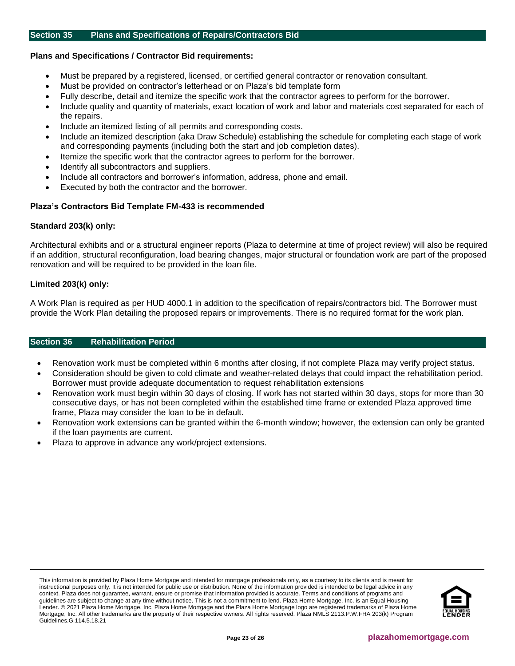#### <span id="page-22-0"></span>**Section 35 Plans and Specifications of Repairs/Contractors Bid**

#### **Plans and Specifications / Contractor Bid requirements:**

- Must be prepared by a registered, licensed, or certified general contractor or renovation consultant.
- Must be provided on contractor's letterhead or on Plaza's bid template form
- Fully describe, detail and itemize the specific work that the contractor agrees to perform for the borrower.
- Include quality and quantity of materials, exact location of work and labor and materials cost separated for each of the repairs.
- Include an itemized listing of all permits and corresponding costs.
- Include an itemized description (aka Draw Schedule) establishing the schedule for completing each stage of work and corresponding payments (including both the start and job completion dates).
- Itemize the specific work that the contractor agrees to perform for the borrower.
- Identify all subcontractors and suppliers.
- Include all contractors and borrower's information, address, phone and email.
- Executed by both the contractor and the borrower.

#### **Plaza's Contractors Bid Template FM-433 is recommended**

#### **Standard 203(k) only:**

Architectural exhibits and or a structural engineer reports (Plaza to determine at time of project review) will also be required if an addition, structural reconfiguration, load bearing changes, major structural or foundation work are part of the proposed renovation and will be required to be provided in the loan file.

#### **Limited 203(k) only:**

A Work Plan is required as per HUD 4000.1 in addition to the specification of repairs/contractors bid. The Borrower must provide the Work Plan detailing the proposed repairs or improvements. There is no required format for the work plan.

#### <span id="page-22-1"></span>**Section 36 Rehabilitation Period**

- Renovation work must be completed within 6 months after closing, if not complete Plaza may verify project status.
- Consideration should be given to cold climate and weather-related delays that could impact the rehabilitation period. Borrower must provide adequate documentation to request rehabilitation extensions
- Renovation work must begin within 30 days of closing. If work has not started within 30 days, stops for more than 30 consecutive days, or has not been completed within the established time frame or extended Plaza approved time frame, Plaza may consider the loan to be in default.
- Renovation work extensions can be granted within the 6-month window; however, the extension can only be granted if the loan payments are current.
- Plaza to approve in advance any work/project extensions.

This information is provided by Plaza Home Mortgage and intended for mortgage professionals only, as a courtesy to its clients and is meant for instructional purposes only. It is not intended for public use or distribution. None of the information provided is intended to be legal advice in any context. Plaza does not guarantee, warrant, ensure or promise that information provided is accurate. Terms and conditions of programs and guidelines are subject to change at any time without notice. This is not a commitment to lend. Plaza Home Mortgage, Inc. is an Equal Housing Lender. © 2021 Plaza Home Mortgage, Inc. Plaza Home Mortgage and the Plaza Home Mortgage logo are registered trademarks of Plaza Home Mortgage, Inc. All other trademarks are the property of their respective owners. All rights reserved. Plaza NMLS 2113.P.W.FHA 203(k) Program Guidelines.G.114.5.18.21

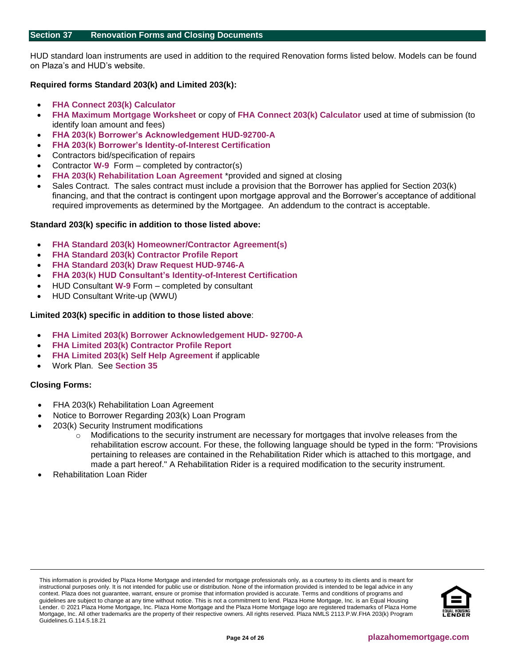<span id="page-23-0"></span>HUD standard loan instruments are used in addition to the required Renovation forms listed below. Models can be found on Plaza's and HUD's website.

# **Required forms Standard 203(k) and Limited 203(k):**

- **[FHA Connect 203\(k\) Calculator](https://entp.hud.gov/idapp/html/f17203k-look.cfm)**
- **[FHA Maximum Mortgage Worksheet](https://resourcecenter.plazahomemortgage.com/phmidocpublisher.nsf/All/D57758419E8750F007257D4300582255?OpenDocument)** or copy of **[FHA Connect 203\(k\) Calculator](https://entp.hud.gov/idapp/html/f17203k-look.cfm)** used at time of submission (to identify loan amount and fees)
- **[FHA 203\(k\) Borrower's Acknowledgement HUD-92700-A](https://resourcecenter.plazahomemortgage.com/phmidocpublisher.nsf/All/1E772FDF41C6ED0E07257D43005741A6?OpenDocument)**
- **[FHA 203\(k\) Borrower's Identity-of-Interest Certification](https://resourcecenter.plazahomemortgage.com/phmidocpublisher.nsf/All/D1F0B274DF982E8B07257D430056C3F4?OpenDocument)**
- Contractors bid/specification of repairs
- Contractor **[W-9](https://resourcecenter.plazahomemortgage.com/phmidocpublisher.nsf/All/22C13CC94D34FD8007257A1A0076C0EC?OpenDocument)** Form completed by contractor(s)
- **[FHA 203\(k\) Rehabilitation Loan Agreement](https://resourcecenter.plazahomemortgage.com/phmidocpublisher.nsf/All/33B050F62849D91507257A1D0079AB6B?OpenDocument)** \*provided and signed at closing
- Sales Contract. The sales contract must include a provision that the Borrower has applied for Section 203(k) financing, and that the contract is contingent upon mortgage approval and the Borrower's acceptance of additional required improvements as determined by the Mortgagee. An addendum to the contract is acceptable.

# **Standard 203(k) specific in addition to those listed above:**

- **[FHA Standard 203\(k\) Homeowner/Contractor Agreement\(s\)](https://resourcecenter.plazahomemortgage.com/phmidocpublisher.nsf/All/4B8AA29591EA31AA07257D4300576F81?OpenDocument)**
- **[FHA Standard 203\(k\) Contractor Profile Report](https://resourcecenter.plazahomemortgage.com/phmidocpublisher.nsf/All/1D28C23507312C2607257D3A00702809?OpenDocument)**
- **[FHA Standard 203\(k\) Draw Request HUD-9746-A](https://resourcecenter.plazahomemortgage.com/phmidocpublisher.nsf/All/AC60D7163037F80407257D41006B16D2?OpenDocument)**
- **[FHA 203\(k\) HUD Consultant's Identity-of-Interest Certification](https://resourcecenter.plazahomemortgage.com/phmidocpublisher.nsf/All/00C1A534437552CD07257D3A006ECB42?OpenDocument)**
- HUD Consultant **[W-9](https://resourcecenter.plazahomemortgage.com/phmidocpublisher.nsf/All/B5B3109A99C6BF4C07257D430057982A?OpenDocument)** Form completed by consultant
- HUD Consultant Write-up (WWU)

# **Limited 203(k) specific in addition to those listed above**:

- **[FHA Limited 203\(k\) Borrower Acknowledgement HUD-](https://resourcecenter.plazahomemortgage.com/phmidocpublisher.nsf/All/027EFAD8631B23B507257A2500649CE2?OpenDocument) 92700-A**
- **[FHA Limited 203\(k\) Contractor Profile Report](https://resourcecenter.plazahomemortgage.com/phmidocpublisher.nsf/88831D26FF45FDD988258167006E14BA/$File/FHA%2020328k29%20Contractor%20Profile%20%20and%20Reference%20Form%20%20FM2D193.pdf)**
- **[FHA Limited 203\(k\) Self Help Agreement](https://resourcecenter.plazahomemortgage.com/phmidocpublisher.nsf/All/C2EAB101B6BB924407257A1B005A3255?OpenDocument)** if applicable
- Work Plan. See **[Section 35](#page-22-0)**

## **Closing Forms:**

- FHA 203(k) Rehabilitation Loan Agreement
- Notice to Borrower Regarding 203(k) Loan Program
- 203(k) Security Instrument modifications
	- $\circ$  Modifications to the security instrument are necessary for mortgages that involve releases from the rehabilitation escrow account. For these, the following language should be typed in the form: "Provisions pertaining to releases are contained in the Rehabilitation Rider which is attached to this mortgage, and made a part hereof." A Rehabilitation Rider is a required modification to the security instrument.
- Rehabilitation Loan Rider

This information is provided by Plaza Home Mortgage and intended for mortgage professionals only, as a courtesy to its clients and is meant for instructional purposes only. It is not intended for public use or distribution. None of the information provided is intended to be legal advice in any context. Plaza does not guarantee, warrant, ensure or promise that information provided is accurate. Terms and conditions of programs and guidelines are subject to change at any time without notice. This is not a commitment to lend. Plaza Home Mortgage, Inc. is an Equal Housing Lender. © 2021 Plaza Home Mortgage, Inc. Plaza Home Mortgage and the Plaza Home Mortgage logo are registered trademarks of Plaza Home Mortgage, Inc. All other trademarks are the property of their respective owners. All rights reserved. Plaza NMLS 2113.P.W.FHA 203(k) Program Guidelines.G.114.5.18.21

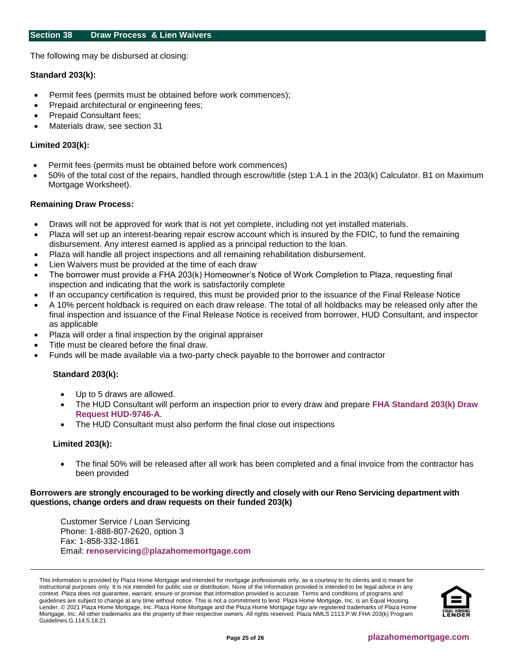<span id="page-24-0"></span>The following may be disbursed at closing:

#### **Standard 203(k):**

- Permit fees (permits must be obtained before work commences);
- Prepaid architectural or engineering fees;
- Prepaid Consultant fees;
- Materials draw, see section 31

## **Limited 203(k):**

- Permit fees (permits must be obtained before work commences)
- 50% of the total cost of the repairs, handled through escrow/title (step 1:A.1 in the 203(k) Calculator. B1 on Maximum Mortgage Worksheet).

#### **Remaining Draw Process:**

- Draws will not be approved for work that is not yet complete, including not yet installed materials.
- Plaza will set up an interest-bearing repair escrow account which is insured by the FDIC, to fund the remaining disbursement. Any interest earned is applied as a principal reduction to the loan.
- Plaza will handle all project inspections and all remaining rehabilitation disbursement.
- Lien Waivers must be provided at the time of each draw
- The borrower must provide a FHA 203(k) Homeowner's Notice of Work Completion to Plaza, requesting final inspection and indicating that the work is satisfactorily complete
- If an occupancy certification is required, this must be provided prior to the issuance of the Final Release Notice
- A 10% percent holdback is required on each draw release. The total of all holdbacks may be released only after the final inspection and issuance of the Final Release Notice is received from borrower, HUD Consultant, and inspector as applicable
- Plaza will order a final inspection by the original appraiser
- Title must be cleared before the final draw.
- Funds will be made available via a two-party check payable to the borrower and contractor

# **Standard 203(k):**

- Up to 5 draws are allowed.
- The HUD Consultant will perform an inspection prior to every draw and prepare **[FHA Standard 203\(k\) Draw](https://resourcecenter.plazahomemortgage.com/phmidocpublisher.nsf/All/AC60D7163037F80407257D41006B16D2?OpenDocument)  [Request HUD-9746-A](https://resourcecenter.plazahomemortgage.com/phmidocpublisher.nsf/All/AC60D7163037F80407257D41006B16D2?OpenDocument)**.
- The HUD Consultant must also perform the final close out inspections

#### **Limited 203(k):**

• The final 50% will be released after all work has been completed and a final invoice from the contractor has been provided

#### **Borrowers are strongly encouraged to be working directly and closely with our Reno Servicing department with questions, change orders and draw requests on their funded 203(k)**

Customer Service / Loan Servicing Phone: 1-888-807-2620, option 3 Fax: 1-858-332-1861 Email: **[renoservicing@plazahomemortgage.com](mailto:renoservicing@plazahomemortgage.com)**

This information is provided by Plaza Home Mortgage and intended for mortgage professionals only, as a courtesy to its clients and is meant for instructional purposes only. It is not intended for public use or distribution. None of the information provided is intended to be legal advice in any context. Plaza does not guarantee, warrant, ensure or promise that information provided is accurate. Terms and conditions of programs and guidelines are subject to change at any time without notice. This is not a commitment to lend. Plaza Home Mortgage, Inc. is an Equal Housing Lender. © 2021 Plaza Home Mortgage, Inc. Plaza Home Mortgage and the Plaza Home Mortgage logo are registered trademarks of Plaza Home Mortgage, Inc. All other trademarks are the property of their respective owners. All rights reserved. Plaza NMLS 2113.P.W.FHA 203(k) Program Guidelines.G.114.5.18.21